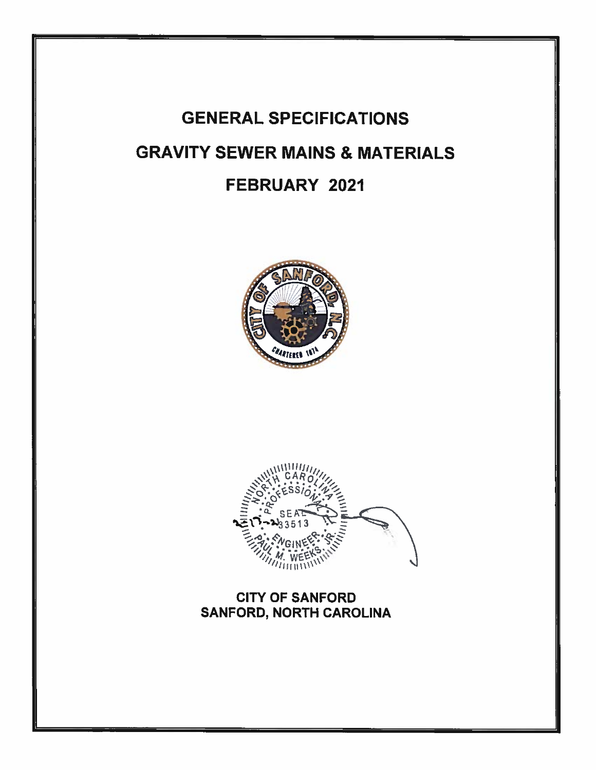# **GENERAL SPECIFICATIONS GRAVITY SEWER MAINS & MATERIALS** FEBRUARY 2021





**CITY OF SANFORD** SANFORD, NORTH CAROLINA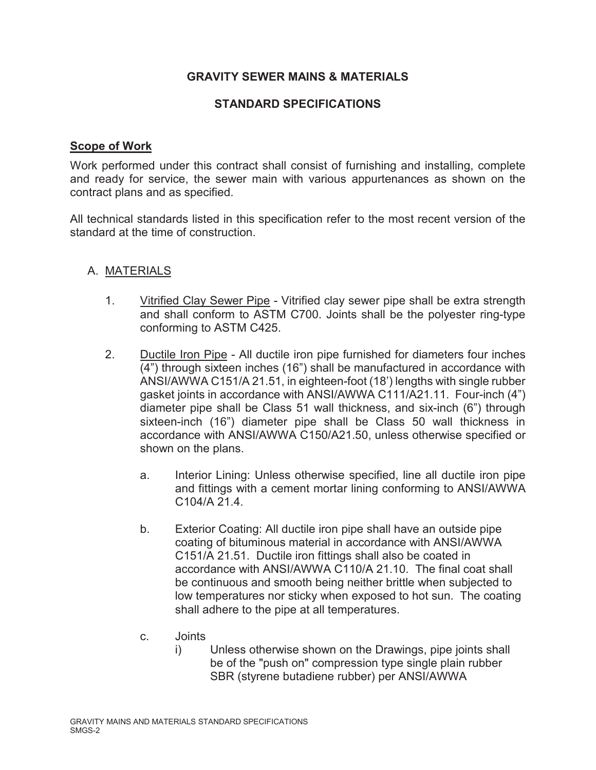# **GRAVITY SEWER MAINS & MATERIALS**

## **STANDARD SPECIFICATIONS**

#### **Scope of Work**

Work performed under this contract shall consist of furnishing and installing, complete and ready for service, the sewer main with various appurtenances as shown on the contract plans and as specified.

All technical standards listed in this specification refer to the most recent version of the standard at the time of construction.

## A. MATERIALS

- 1. Vitrified Clay Sewer Pipe Vitrified clay sewer pipe shall be extra strength and shall conform to ASTM C700. Joints shall be the polyester ring-type conforming to ASTM C425.
- 2. Ductile Iron Pipe All ductile iron pipe furnished for diameters four inches (4") through sixteen inches (16") shall be manufactured in accordance with ANSI/AWWA C151/A 21.51, in eighteen-foot (18') lengths with single rubber gasket joints in accordance with ANSI/AWWA C111/A21.11. Four-inch (4") diameter pipe shall be Class 51 wall thickness, and six-inch (6") through sixteen-inch (16") diameter pipe shall be Class 50 wall thickness in accordance with ANSI/AWWA C150/A21.50, unless otherwise specified or shown on the plans.
	- a. Interior Lining: Unless otherwise specified, line all ductile iron pipe and fittings with a cement mortar lining conforming to ANSI/AWWA C104/A 21.4.
	- b. Exterior Coating: All ductile iron pipe shall have an outside pipe coating of bituminous material in accordance with ANSI/AWWA C151/A 21.51. Ductile iron fittings shall also be coated in accordance with ANSI/AWWA C110/A 21.10. The final coat shall be continuous and smooth being neither brittle when subjected to low temperatures nor sticky when exposed to hot sun. The coating shall adhere to the pipe at all temperatures.
	- c. Joints
		- i) Unless otherwise shown on the Drawings, pipe joints shall be of the "push on" compression type single plain rubber SBR (styrene butadiene rubber) per ANSI/AWWA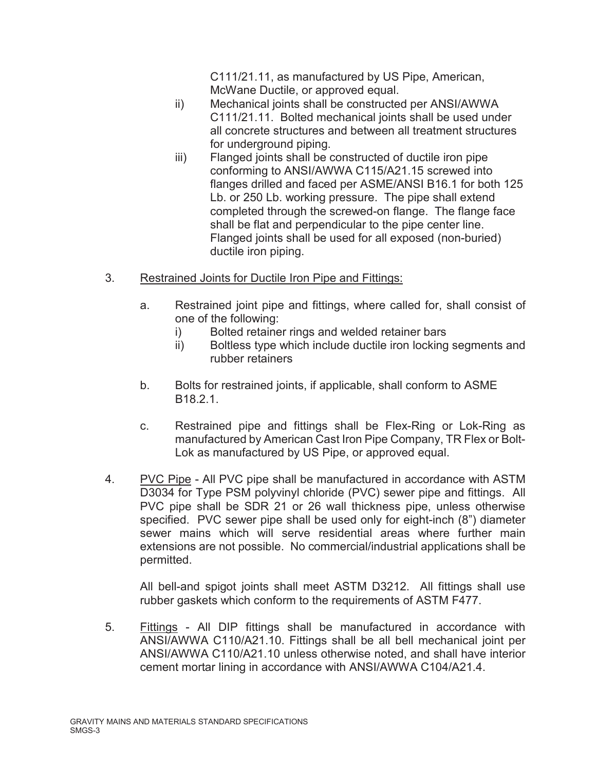C111/21.11, as manufactured by US Pipe, American, McWane Ductile, or approved equal.

- ii) Mechanical joints shall be constructed per ANSI/AWWA C111/21.11. Bolted mechanical joints shall be used under all concrete structures and between all treatment structures for underground piping.
- iii) Flanged joints shall be constructed of ductile iron pipe conforming to ANSI/AWWA C115/A21.15 screwed into flanges drilled and faced per ASME/ANSI B16.1 for both 125 Lb. or 250 Lb. working pressure. The pipe shall extend completed through the screwed-on flange. The flange face shall be flat and perpendicular to the pipe center line. Flanged joints shall be used for all exposed (non-buried) ductile iron piping.
- 3. Restrained Joints for Ductile Iron Pipe and Fittings:
	- a. Restrained joint pipe and fittings, where called for, shall consist of one of the following:
		- i) Bolted retainer rings and welded retainer bars
		- ii) Boltless type which include ductile iron locking segments and rubber retainers
	- b. Bolts for restrained joints, if applicable, shall conform to ASME B18.2.1.
	- c. Restrained pipe and fittings shall be Flex-Ring or Lok-Ring as manufactured by American Cast Iron Pipe Company, TR Flex or Bolt-Lok as manufactured by US Pipe, or approved equal.
- 4. PVC Pipe All PVC pipe shall be manufactured in accordance with ASTM D3034 for Type PSM polyvinyl chloride (PVC) sewer pipe and fittings. All PVC pipe shall be SDR 21 or 26 wall thickness pipe, unless otherwise specified. PVC sewer pipe shall be used only for eight-inch (8") diameter sewer mains which will serve residential areas where further main extensions are not possible. No commercial/industrial applications shall be permitted.

All bell-and spigot joints shall meet ASTM D3212. All fittings shall use rubber gaskets which conform to the requirements of ASTM F477.

5. Fittings - All DIP fittings shall be manufactured in accordance with ANSI/AWWA C110/A21.10. Fittings shall be all bell mechanical joint per ANSI/AWWA C110/A21.10 unless otherwise noted, and shall have interior cement mortar lining in accordance with ANSI/AWWA C104/A21.4.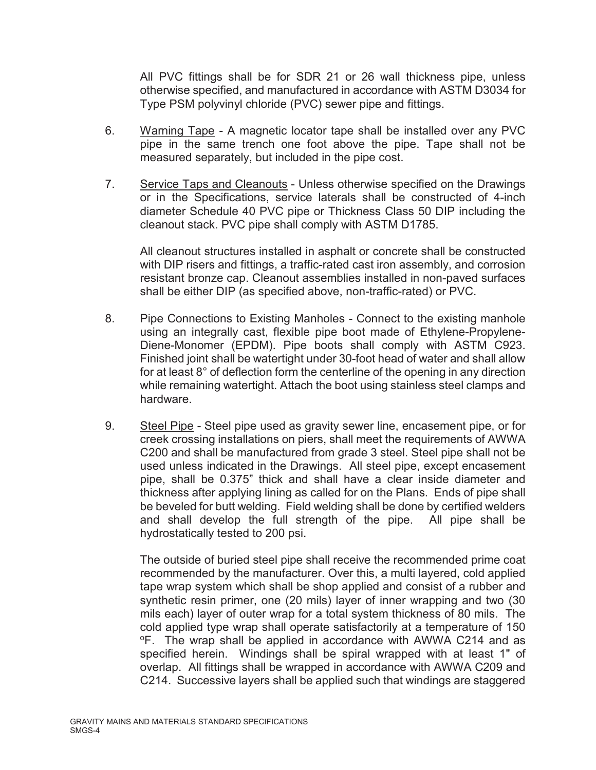All PVC fittings shall be for SDR 21 or 26 wall thickness pipe, unless otherwise specified, and manufactured in accordance with ASTM D3034 for Type PSM polyvinyl chloride (PVC) sewer pipe and fittings.

- 6. Warning Tape A magnetic locator tape shall be installed over any PVC pipe in the same trench one foot above the pipe. Tape shall not be measured separately, but included in the pipe cost.
- 7. Service Taps and Cleanouts Unless otherwise specified on the Drawings or in the Specifications, service laterals shall be constructed of 4-inch diameter Schedule 40 PVC pipe or Thickness Class 50 DIP including the cleanout stack. PVC pipe shall comply with ASTM D1785.

All cleanout structures installed in asphalt or concrete shall be constructed with DIP risers and fittings, a traffic-rated cast iron assembly, and corrosion resistant bronze cap. Cleanout assemblies installed in non-paved surfaces shall be either DIP (as specified above, non-traffic-rated) or PVC.

- 8. Pipe Connections to Existing Manholes Connect to the existing manhole using an integrally cast, flexible pipe boot made of Ethylene-Propylene-Diene-Monomer (EPDM). Pipe boots shall comply with ASTM C923. Finished joint shall be watertight under 30-foot head of water and shall allow for at least 8° of deflection form the centerline of the opening in any direction while remaining watertight. Attach the boot using stainless steel clamps and hardware.
- 9. Steel Pipe Steel pipe used as gravity sewer line, encasement pipe, or for creek crossing installations on piers, shall meet the requirements of AWWA C200 and shall be manufactured from grade 3 steel. Steel pipe shall not be used unless indicated in the Drawings. All steel pipe, except encasement pipe, shall be 0.375" thick and shall have a clear inside diameter and thickness after applying lining as called for on the Plans. Ends of pipe shall be beveled for butt welding. Field welding shall be done by certified welders and shall develop the full strength of the pipe. All pipe shall be hydrostatically tested to 200 psi.

The outside of buried steel pipe shall receive the recommended prime coat recommended by the manufacturer. Over this, a multi layered, cold applied tape wrap system which shall be shop applied and consist of a rubber and synthetic resin primer, one (20 mils) layer of inner wrapping and two (30 mils each) layer of outer wrap for a total system thickness of 80 mils. The cold applied type wrap shall operate satisfactorily at a temperature of 150 oF. The wrap shall be applied in accordance with AWWA C214 and as specified herein. Windings shall be spiral wrapped with at least 1" of overlap. All fittings shall be wrapped in accordance with AWWA C209 and C214. Successive layers shall be applied such that windings are staggered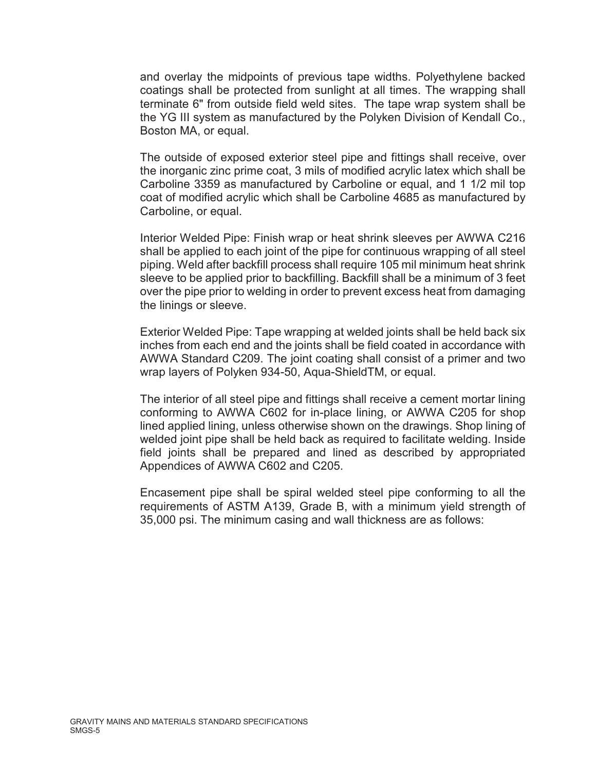and overlay the midpoints of previous tape widths. Polyethylene backed coatings shall be protected from sunlight at all times. The wrapping shall terminate 6" from outside field weld sites. The tape wrap system shall be the YG III system as manufactured by the Polyken Division of Kendall Co., Boston MA, or equal.

The outside of exposed exterior steel pipe and fittings shall receive, over the inorganic zinc prime coat, 3 mils of modified acrylic latex which shall be Carboline 3359 as manufactured by Carboline or equal, and 1 1/2 mil top coat of modified acrylic which shall be Carboline 4685 as manufactured by Carboline, or equal.

Interior Welded Pipe: Finish wrap or heat shrink sleeves per AWWA C216 shall be applied to each joint of the pipe for continuous wrapping of all steel piping. Weld after backfill process shall require 105 mil minimum heat shrink sleeve to be applied prior to backfilling. Backfill shall be a minimum of 3 feet over the pipe prior to welding in order to prevent excess heat from damaging the linings or sleeve.

Exterior Welded Pipe: Tape wrapping at welded joints shall be held back six inches from each end and the joints shall be field coated in accordance with AWWA Standard C209. The joint coating shall consist of a primer and two wrap layers of Polyken 934-50, Aqua-ShieldTM, or equal.

The interior of all steel pipe and fittings shall receive a cement mortar lining conforming to AWWA C602 for in-place lining, or AWWA C205 for shop lined applied lining, unless otherwise shown on the drawings. Shop lining of welded joint pipe shall be held back as required to facilitate welding. Inside field joints shall be prepared and lined as described by appropriated Appendices of AWWA C602 and C205.

Encasement pipe shall be spiral welded steel pipe conforming to all the requirements of ASTM A139, Grade B, with a minimum yield strength of 35,000 psi. The minimum casing and wall thickness are as follows: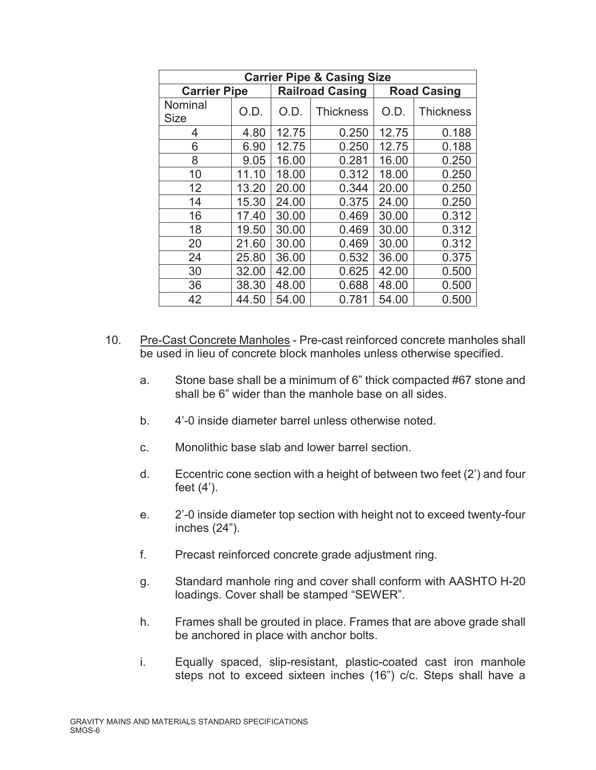| <b>Carrier Pipe &amp; Casing Size</b> |       |       |                        |                    |                  |  |
|---------------------------------------|-------|-------|------------------------|--------------------|------------------|--|
| <b>Carrier Pipe</b>                   |       |       | <b>Railroad Casing</b> | <b>Road Casing</b> |                  |  |
| Nominal<br><b>Size</b>                | O.D.  | O.D.  | <b>Thickness</b>       | O.D.               | <b>Thickness</b> |  |
| 4                                     | 4.80  | 12.75 | 0.250                  | 12.75              | 0.188            |  |
| 6                                     | 6.90  | 12.75 | 0.250                  | 12.75              | 0.188            |  |
| 8                                     | 9.05  | 16.00 | 0.281                  | 16.00              | 0.250            |  |
| 10                                    | 11.10 | 18.00 | 0.312                  | 18.00              | 0.250            |  |
| 12                                    | 13.20 | 20.00 | 0.344                  | 20.00              | 0.250            |  |
| 14                                    | 15.30 | 24.00 | 0.375                  | 24.00              | 0.250            |  |
| 16                                    | 17.40 | 30.00 | 0.469                  | 30.00              | 0.312            |  |
| 18                                    | 19.50 | 30.00 | 0.469                  | 30.00              | 0.312            |  |
| 20                                    | 21.60 | 30.00 | 0.469                  | 30.00              | 0.312            |  |
| 24                                    | 25.80 | 36.00 | 0.532                  | 36.00              | 0.375            |  |
| 30                                    | 32.00 | 42.00 | 0.625                  | 42.00              | 0.500            |  |
| 36                                    | 38.30 | 48.00 | 0.688                  | 48.00              | 0.500            |  |
| 42                                    | 44.50 | 54.00 | 0.781                  | 54.00              | 0.500            |  |

- 10. Pre-Cast Concrete Manholes Pre-cast reinforced concrete manholes shall be used in lieu of concrete block manholes unless otherwise specified.
	- a. Stone base shall be a minimum of 6" thick compacted #67 stone and shall be 6" wider than the manhole base on all sides.
	- b. 4'-0 inside diameter barrel unless otherwise noted.
	- c. Monolithic base slab and lower barrel section.
	- d. Eccentric cone section with a height of between two feet (2') and four feet (4').
	- e. 2'-0 inside diameter top section with height not to exceed twenty-four inches (24").
	- f. Precast reinforced concrete grade adjustment ring.
	- g. Standard manhole ring and cover shall conform with AASHTO H-20 loadings. Cover shall be stamped "SEWER".
	- h. Frames shall be grouted in place. Frames that are above grade shall be anchored in place with anchor bolts.
	- i. Equally spaced, slip-resistant, plastic-coated cast iron manhole steps not to exceed sixteen inches (16") c/c. Steps shall have a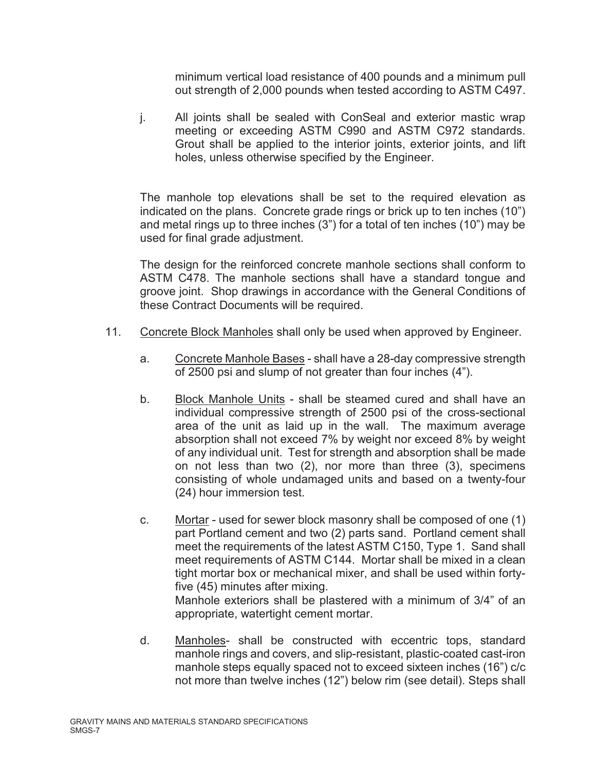minimum vertical load resistance of 400 pounds and a minimum pull out strength of 2,000 pounds when tested according to ASTM C497.

j. All joints shall be sealed with ConSeal and exterior mastic wrap meeting or exceeding ASTM C990 and ASTM C972 standards. Grout shall be applied to the interior joints, exterior joints, and lift holes, unless otherwise specified by the Engineer.

The manhole top elevations shall be set to the required elevation as indicated on the plans. Concrete grade rings or brick up to ten inches (10") and metal rings up to three inches (3") for a total of ten inches (10") may be used for final grade adjustment.

The design for the reinforced concrete manhole sections shall conform to ASTM C478. The manhole sections shall have a standard tongue and groove joint. Shop drawings in accordance with the General Conditions of these Contract Documents will be required.

- 11. Concrete Block Manholes shall only be used when approved by Engineer.
	- a. Concrete Manhole Bases shall have a 28-day compressive strength of 2500 psi and slump of not greater than four inches (4").
	- b. Block Manhole Units shall be steamed cured and shall have an individual compressive strength of 2500 psi of the cross-sectional area of the unit as laid up in the wall. The maximum average absorption shall not exceed 7% by weight nor exceed 8% by weight of any individual unit. Test for strength and absorption shall be made on not less than two (2), nor more than three (3), specimens consisting of whole undamaged units and based on a twenty-four (24) hour immersion test.
	- c. Mortar used for sewer block masonry shall be composed of one (1) part Portland cement and two (2) parts sand. Portland cement shall meet the requirements of the latest ASTM C150, Type 1. Sand shall meet requirements of ASTM C144. Mortar shall be mixed in a clean tight mortar box or mechanical mixer, and shall be used within fortyfive (45) minutes after mixing.

Manhole exteriors shall be plastered with a minimum of 3/4" of an appropriate, watertight cement mortar.

d. Manholes- shall be constructed with eccentric tops, standard manhole rings and covers, and slip-resistant, plastic-coated cast-iron manhole steps equally spaced not to exceed sixteen inches (16") c/c not more than twelve inches (12") below rim (see detail). Steps shall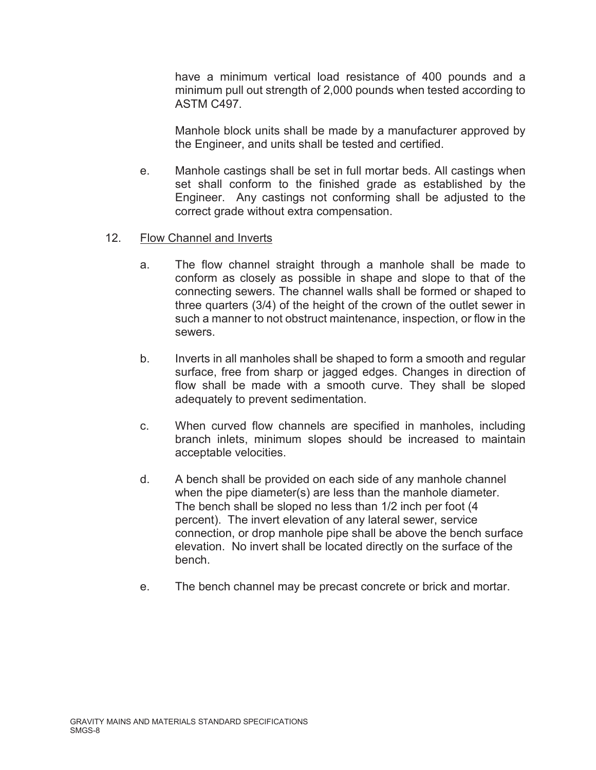have a minimum vertical load resistance of 400 pounds and a minimum pull out strength of 2,000 pounds when tested according to ASTM C497.

Manhole block units shall be made by a manufacturer approved by the Engineer, and units shall be tested and certified.

e. Manhole castings shall be set in full mortar beds. All castings when set shall conform to the finished grade as established by the Engineer. Any castings not conforming shall be adjusted to the correct grade without extra compensation.

#### 12. Flow Channel and Inverts

- a. The flow channel straight through a manhole shall be made to conform as closely as possible in shape and slope to that of the connecting sewers. The channel walls shall be formed or shaped to three quarters (3/4) of the height of the crown of the outlet sewer in such a manner to not obstruct maintenance, inspection, or flow in the sewers.
- b. Inverts in all manholes shall be shaped to form a smooth and regular surface, free from sharp or jagged edges. Changes in direction of flow shall be made with a smooth curve. They shall be sloped adequately to prevent sedimentation.
- c. When curved flow channels are specified in manholes, including branch inlets, minimum slopes should be increased to maintain acceptable velocities.
- d. A bench shall be provided on each side of any manhole channel when the pipe diameter(s) are less than the manhole diameter. The bench shall be sloped no less than 1/2 inch per foot (4 percent). The invert elevation of any lateral sewer, service connection, or drop manhole pipe shall be above the bench surface elevation. No invert shall be located directly on the surface of the bench.
- e. The bench channel may be precast concrete or brick and mortar.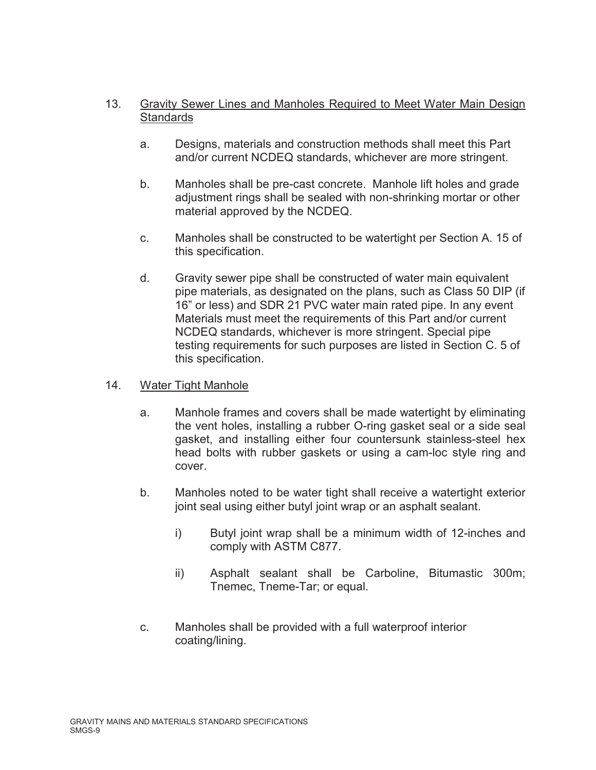# 13. Gravity Sewer Lines and Manholes Required to Meet Water Main Design **Standards**

- a. Designs, materials and construction methods shall meet this Part and/or current NCDEQ standards, whichever are more stringent.
- b. Manholes shall be pre-cast concrete. Manhole lift holes and grade adjustment rings shall be sealed with non-shrinking mortar or other material approved by the NCDEQ.
- c. Manholes shall be constructed to be watertight per Section A. 15 of this specification.
- d. Gravity sewer pipe shall be constructed of water main equivalent pipe materials, as designated on the plans, such as Class 50 DIP (if 16" or less) and SDR 21 PVC water main rated pipe. In any event Materials must meet the requirements of this Part and/or current NCDEQ standards, whichever is more stringent. Special pipe testing requirements for such purposes are listed in Section C. 5 of this specification.

## 14. Water Tight Manhole

- a. Manhole frames and covers shall be made watertight by eliminating the vent holes, installing a rubber O-ring gasket seal or a side seal gasket, and installing either four countersunk stainless-steel hex head bolts with rubber gaskets or using a cam-loc style ring and cover.
- b. Manholes noted to be water tight shall receive a watertight exterior joint seal using either butyl joint wrap or an asphalt sealant.
	- i) Butyl joint wrap shall be a minimum width of 12-inches and comply with ASTM C877.
	- ii) Asphalt sealant shall be Carboline, Bitumastic 300m; Tnemec, Tneme-Tar; or equal.
- c. Manholes shall be provided with a full waterproof interior coating/lining.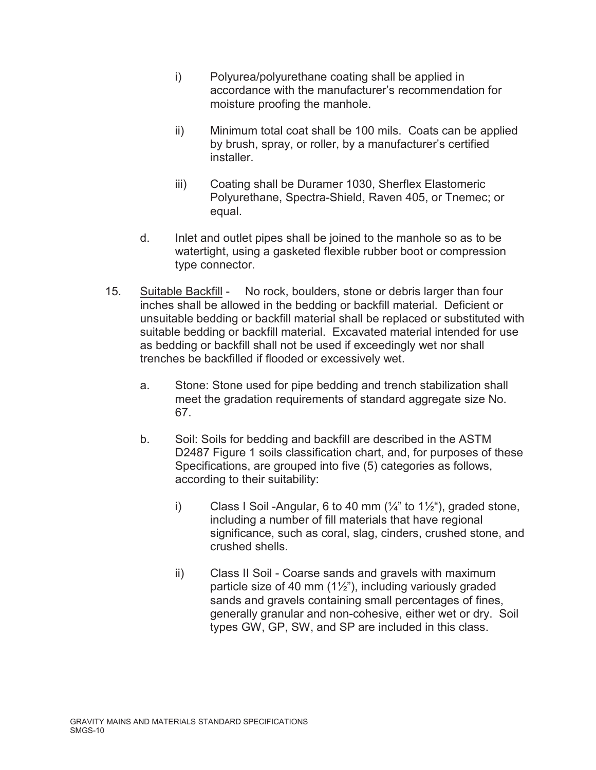- i) Polyurea/polyurethane coating shall be applied in accordance with the manufacturer's recommendation for moisture proofing the manhole.
- ii) Minimum total coat shall be 100 mils. Coats can be applied by brush, spray, or roller, by a manufacturer's certified installer.
- iii) Coating shall be Duramer 1030, Sherflex Elastomeric Polyurethane, Spectra-Shield, Raven 405, or Tnemec; or equal.
- d. Inlet and outlet pipes shall be joined to the manhole so as to be watertight, using a gasketed flexible rubber boot or compression type connector.
- 15. Suitable Backfill No rock, boulders, stone or debris larger than four inches shall be allowed in the bedding or backfill material. Deficient or unsuitable bedding or backfill material shall be replaced or substituted with suitable bedding or backfill material. Excavated material intended for use as bedding or backfill shall not be used if exceedingly wet nor shall trenches be backfilled if flooded or excessively wet.
	- a. Stone: Stone used for pipe bedding and trench stabilization shall meet the gradation requirements of standard aggregate size No. 67.
	- b. Soil: Soils for bedding and backfill are described in the ASTM D2487 Figure 1 soils classification chart, and, for purposes of these Specifications, are grouped into five (5) categories as follows, according to their suitability:
		- i) Class I Soil -Angular, 6 to 40 mm  $(\frac{1}{4})$  to 1 $\frac{1}{2})$ , graded stone, including a number of fill materials that have regional significance, such as coral, slag, cinders, crushed stone, and crushed shells.
		- ii) Class II Soil Coarse sands and gravels with maximum particle size of 40 mm  $(1\frac{1}{2})$ , including variously graded sands and gravels containing small percentages of fines, generally granular and non-cohesive, either wet or dry. Soil types GW, GP, SW, and SP are included in this class.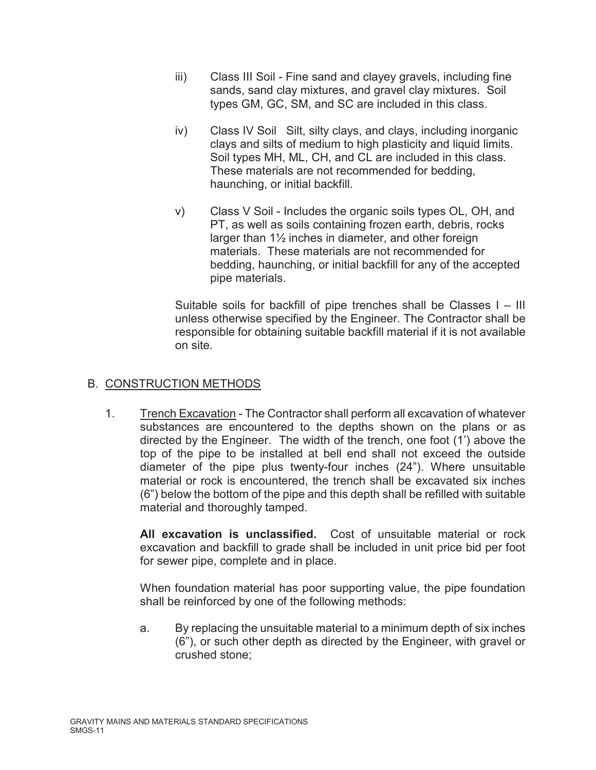- iii) Class III Soil Fine sand and clayey gravels, including fine sands, sand clay mixtures, and gravel clay mixtures. Soil types GM, GC, SM, and SC are included in this class.
- iv) Class IV Soil Silt, silty clays, and clays, including inorganic clays and silts of medium to high plasticity and liquid limits. Soil types MH, ML, CH, and CL are included in this class. These materials are not recommended for bedding, haunching, or initial backfill.
- v) Class V Soil Includes the organic soils types OL, OH, and PT, as well as soils containing frozen earth, debris, rocks larger than  $1\frac{1}{2}$  inches in diameter, and other foreign materials. These materials are not recommended for bedding, haunching, or initial backfill for any of the accepted pipe materials.

Suitable soils for backfill of pipe trenches shall be Classes I – III unless otherwise specified by the Engineer. The Contractor shall be responsible for obtaining suitable backfill material if it is not available on site.

# B. CONSTRUCTION METHODS

1. Trench Excavation - The Contractor shall perform all excavation of whatever substances are encountered to the depths shown on the plans or as directed by the Engineer. The width of the trench, one foot (1') above the top of the pipe to be installed at bell end shall not exceed the outside diameter of the pipe plus twenty-four inches (24"). Where unsuitable material or rock is encountered, the trench shall be excavated six inches (6") below the bottom of the pipe and this depth shall be refilled with suitable material and thoroughly tamped.

**All excavation is unclassified.** Cost of unsuitable material or rock excavation and backfill to grade shall be included in unit price bid per foot for sewer pipe, complete and in place.

When foundation material has poor supporting value, the pipe foundation shall be reinforced by one of the following methods:

a. By replacing the unsuitable material to a minimum depth of six inches (6"), or such other depth as directed by the Engineer, with gravel or crushed stone;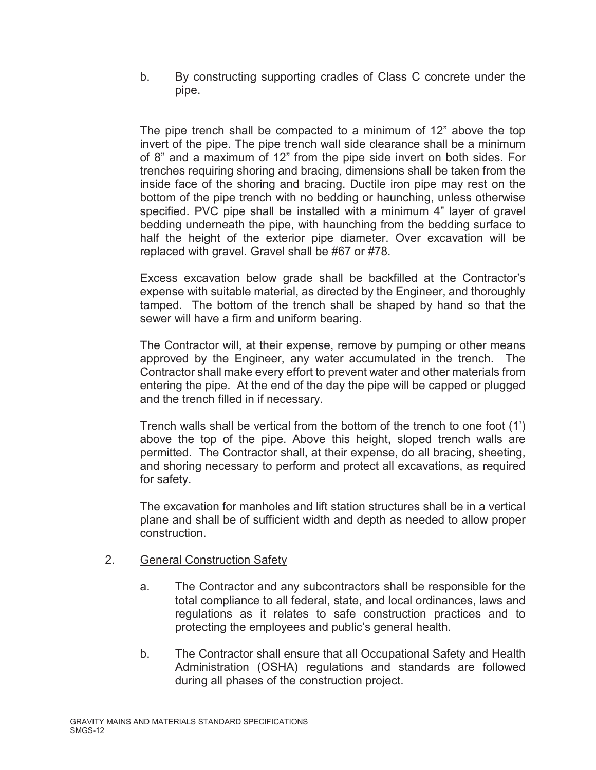b. By constructing supporting cradles of Class C concrete under the pipe.

The pipe trench shall be compacted to a minimum of 12" above the top invert of the pipe. The pipe trench wall side clearance shall be a minimum of 8" and a maximum of 12" from the pipe side invert on both sides. For trenches requiring shoring and bracing, dimensions shall be taken from the inside face of the shoring and bracing. Ductile iron pipe may rest on the bottom of the pipe trench with no bedding or haunching, unless otherwise specified. PVC pipe shall be installed with a minimum 4" layer of gravel bedding underneath the pipe, with haunching from the bedding surface to half the height of the exterior pipe diameter. Over excavation will be replaced with gravel. Gravel shall be #67 or #78.

Excess excavation below grade shall be backfilled at the Contractor's expense with suitable material, as directed by the Engineer, and thoroughly tamped. The bottom of the trench shall be shaped by hand so that the sewer will have a firm and uniform bearing.

The Contractor will, at their expense, remove by pumping or other means approved by the Engineer, any water accumulated in the trench. The Contractor shall make every effort to prevent water and other materials from entering the pipe. At the end of the day the pipe will be capped or plugged and the trench filled in if necessary.

Trench walls shall be vertical from the bottom of the trench to one foot (1') above the top of the pipe. Above this height, sloped trench walls are permitted. The Contractor shall, at their expense, do all bracing, sheeting, and shoring necessary to perform and protect all excavations, as required for safety.

The excavation for manholes and lift station structures shall be in a vertical plane and shall be of sufficient width and depth as needed to allow proper construction.

# 2. General Construction Safety

- a. The Contractor and any subcontractors shall be responsible for the total compliance to all federal, state, and local ordinances, laws and regulations as it relates to safe construction practices and to protecting the employees and public's general health.
- b. The Contractor shall ensure that all Occupational Safety and Health Administration (OSHA) regulations and standards are followed during all phases of the construction project.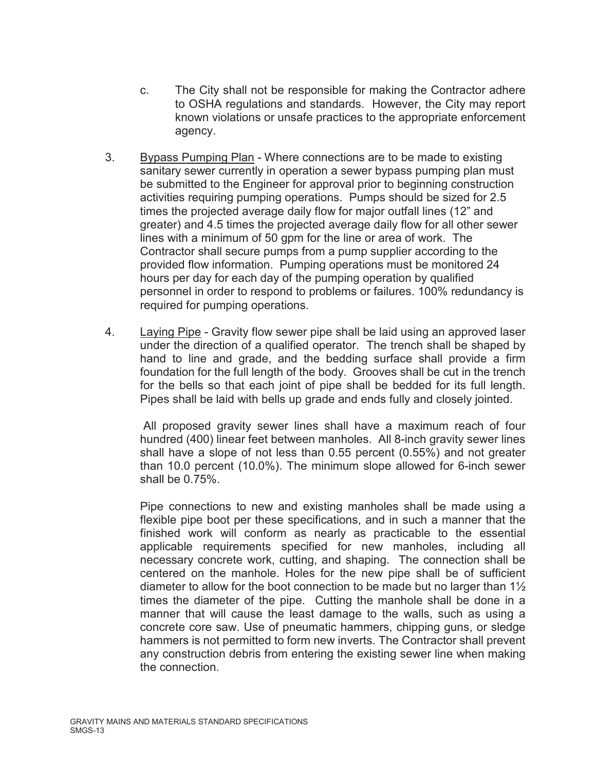- c. The City shall not be responsible for making the Contractor adhere to OSHA regulations and standards. However, the City may report known violations or unsafe practices to the appropriate enforcement agency.
- 3. Bypass Pumping Plan Where connections are to be made to existing sanitary sewer currently in operation a sewer bypass pumping plan must be submitted to the Engineer for approval prior to beginning construction activities requiring pumping operations. Pumps should be sized for 2.5 times the projected average daily flow for major outfall lines (12" and greater) and 4.5 times the projected average daily flow for all other sewer lines with a minimum of 50 gpm for the line or area of work. The Contractor shall secure pumps from a pump supplier according to the provided flow information. Pumping operations must be monitored 24 hours per day for each day of the pumping operation by qualified personnel in order to respond to problems or failures. 100% redundancy is required for pumping operations.
- 4. Laying Pipe Gravity flow sewer pipe shall be laid using an approved laser under the direction of a qualified operator. The trench shall be shaped by hand to line and grade, and the bedding surface shall provide a firm foundation for the full length of the body. Grooves shall be cut in the trench for the bells so that each joint of pipe shall be bedded for its full length. Pipes shall be laid with bells up grade and ends fully and closely jointed.

All proposed gravity sewer lines shall have a maximum reach of four hundred (400) linear feet between manholes. All 8-inch gravity sewer lines shall have a slope of not less than 0.55 percent (0.55%) and not greater than 10.0 percent (10.0%). The minimum slope allowed for 6-inch sewer shall be 0.75%.

Pipe connections to new and existing manholes shall be made using a flexible pipe boot per these specifications, and in such a manner that the finished work will conform as nearly as practicable to the essential applicable requirements specified for new manholes, including all necessary concrete work, cutting, and shaping. The connection shall be centered on the manhole. Holes for the new pipe shall be of sufficient diameter to allow for the boot connection to be made but no larger than  $1\frac{1}{2}$ times the diameter of the pipe. Cutting the manhole shall be done in a manner that will cause the least damage to the walls, such as using a concrete core saw. Use of pneumatic hammers, chipping guns, or sledge hammers is not permitted to form new inverts. The Contractor shall prevent any construction debris from entering the existing sewer line when making the connection.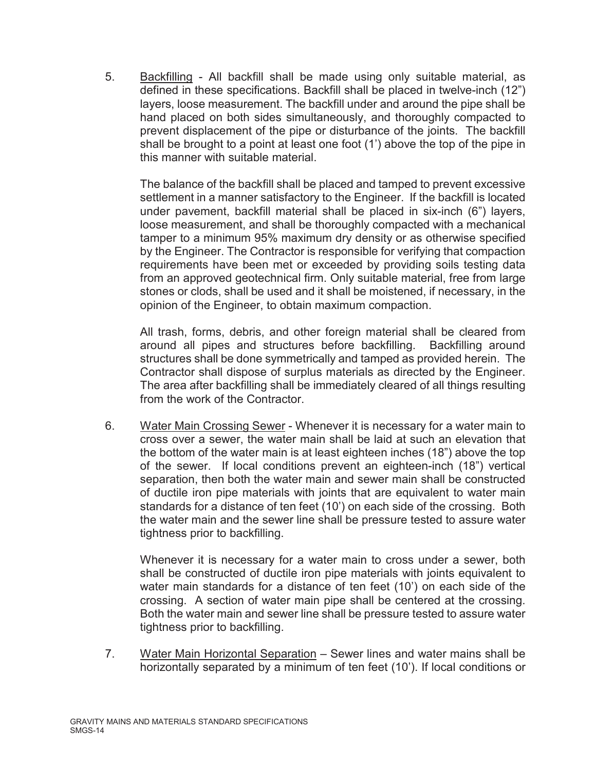5. Backfilling - All backfill shall be made using only suitable material, as defined in these specifications. Backfill shall be placed in twelve-inch (12") layers, loose measurement. The backfill under and around the pipe shall be hand placed on both sides simultaneously, and thoroughly compacted to prevent displacement of the pipe or disturbance of the joints. The backfill shall be brought to a point at least one foot (1') above the top of the pipe in this manner with suitable material.

The balance of the backfill shall be placed and tamped to prevent excessive settlement in a manner satisfactory to the Engineer. If the backfill is located under pavement, backfill material shall be placed in six-inch (6") layers, loose measurement, and shall be thoroughly compacted with a mechanical tamper to a minimum 95% maximum dry density or as otherwise specified by the Engineer. The Contractor is responsible for verifying that compaction requirements have been met or exceeded by providing soils testing data from an approved geotechnical firm. Only suitable material, free from large stones or clods, shall be used and it shall be moistened, if necessary, in the opinion of the Engineer, to obtain maximum compaction.

All trash, forms, debris, and other foreign material shall be cleared from around all pipes and structures before backfilling. Backfilling around structures shall be done symmetrically and tamped as provided herein. The Contractor shall dispose of surplus materials as directed by the Engineer. The area after backfilling shall be immediately cleared of all things resulting from the work of the Contractor.

6. Water Main Crossing Sewer - Whenever it is necessary for a water main to cross over a sewer, the water main shall be laid at such an elevation that the bottom of the water main is at least eighteen inches (18") above the top of the sewer. If local conditions prevent an eighteen-inch (18") vertical separation, then both the water main and sewer main shall be constructed of ductile iron pipe materials with joints that are equivalent to water main standards for a distance of ten feet (10') on each side of the crossing. Both the water main and the sewer line shall be pressure tested to assure water tightness prior to backfilling.

Whenever it is necessary for a water main to cross under a sewer, both shall be constructed of ductile iron pipe materials with joints equivalent to water main standards for a distance of ten feet (10') on each side of the crossing. A section of water main pipe shall be centered at the crossing. Both the water main and sewer line shall be pressure tested to assure water tightness prior to backfilling.

7. Water Main Horizontal Separation – Sewer lines and water mains shall be horizontally separated by a minimum of ten feet (10'). If local conditions or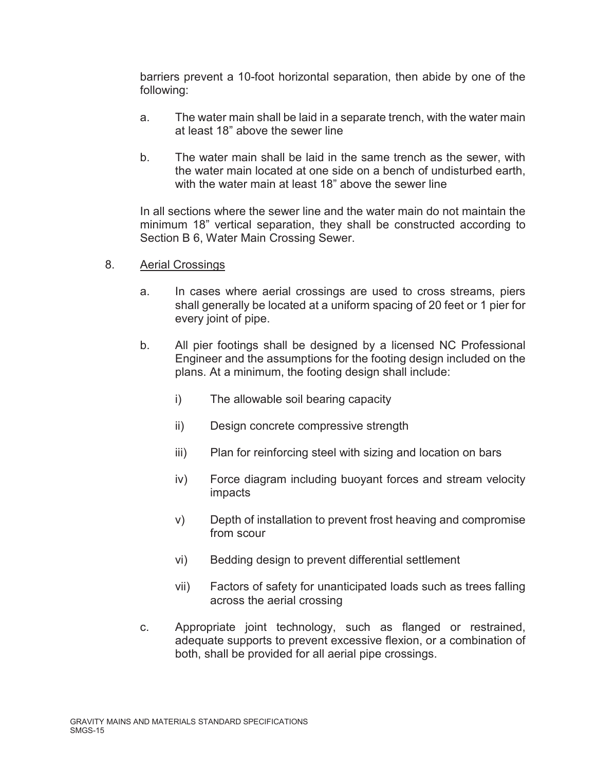barriers prevent a 10-foot horizontal separation, then abide by one of the following:

- a. The water main shall be laid in a separate trench, with the water main at least 18" above the sewer line
- b. The water main shall be laid in the same trench as the sewer, with the water main located at one side on a bench of undisturbed earth, with the water main at least 18" above the sewer line

In all sections where the sewer line and the water main do not maintain the minimum 18" vertical separation, they shall be constructed according to Section B 6, Water Main Crossing Sewer.

- 8. Aerial Crossings
	- a. In cases where aerial crossings are used to cross streams, piers shall generally be located at a uniform spacing of 20 feet or 1 pier for every joint of pipe.
	- b. All pier footings shall be designed by a licensed NC Professional Engineer and the assumptions for the footing design included on the plans. At a minimum, the footing design shall include:
		- i) The allowable soil bearing capacity
		- ii) Design concrete compressive strength
		- iii) Plan for reinforcing steel with sizing and location on bars
		- iv) Force diagram including buoyant forces and stream velocity impacts
		- v) Depth of installation to prevent frost heaving and compromise from scour
		- vi) Bedding design to prevent differential settlement
		- vii) Factors of safety for unanticipated loads such as trees falling across the aerial crossing
	- c. Appropriate joint technology, such as flanged or restrained, adequate supports to prevent excessive flexion, or a combination of both, shall be provided for all aerial pipe crossings.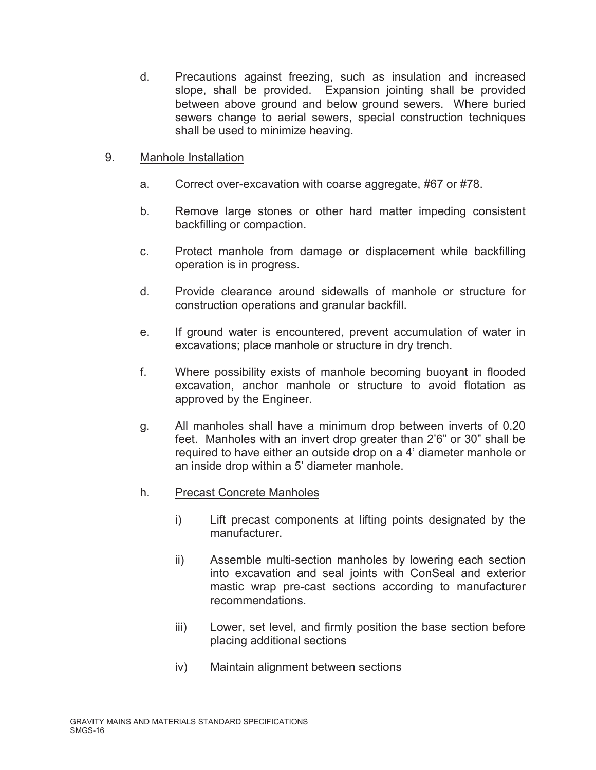d. Precautions against freezing, such as insulation and increased slope, shall be provided. Expansion jointing shall be provided between above ground and below ground sewers. Where buried sewers change to aerial sewers, special construction techniques shall be used to minimize heaving.

## 9. Manhole Installation

- a. Correct over-excavation with coarse aggregate, #67 or #78.
- b. Remove large stones or other hard matter impeding consistent backfilling or compaction.
- c. Protect manhole from damage or displacement while backfilling operation is in progress.
- d. Provide clearance around sidewalls of manhole or structure for construction operations and granular backfill.
- e. If ground water is encountered, prevent accumulation of water in excavations; place manhole or structure in dry trench.
- f. Where possibility exists of manhole becoming buoyant in flooded excavation, anchor manhole or structure to avoid flotation as approved by the Engineer.
- g. All manholes shall have a minimum drop between inverts of 0.20 feet. Manholes with an invert drop greater than 2'6" or 30" shall be required to have either an outside drop on a 4' diameter manhole or an inside drop within a 5' diameter manhole.

## h. Precast Concrete Manholes

- i) Lift precast components at lifting points designated by the manufacturer.
- ii) Assemble multi-section manholes by lowering each section into excavation and seal joints with ConSeal and exterior mastic wrap pre-cast sections according to manufacturer recommendations.
- iii) Lower, set level, and firmly position the base section before placing additional sections
- iv) Maintain alignment between sections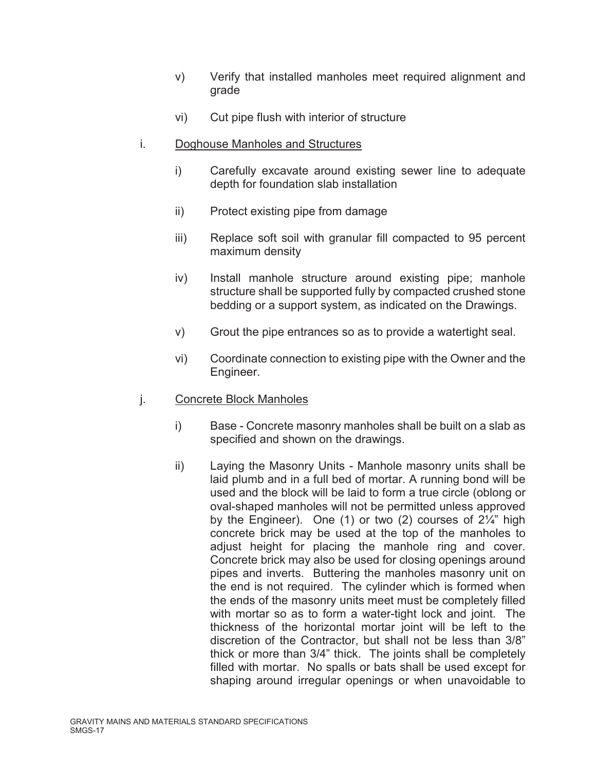- v) Verify that installed manholes meet required alignment and grade
- vi) Cut pipe flush with interior of structure
- i. Doghouse Manholes and Structures
	- i) Carefully excavate around existing sewer line to adequate depth for foundation slab installation
	- ii) Protect existing pipe from damage
	- iii) Replace soft soil with granular fill compacted to 95 percent maximum density
	- iv) Install manhole structure around existing pipe; manhole structure shall be supported fully by compacted crushed stone bedding or a support system, as indicated on the Drawings.
	- v) Grout the pipe entrances so as to provide a watertight seal.
	- vi) Coordinate connection to existing pipe with the Owner and the Engineer.
- j. Concrete Block Manholes
	- i) Base Concrete masonry manholes shall be built on a slab as specified and shown on the drawings.
	- ii) Laying the Masonry Units Manhole masonry units shall be laid plumb and in a full bed of mortar. A running bond will be used and the block will be laid to form a true circle (oblong or oval-shaped manholes will not be permitted unless approved by the Engineer). One (1) or two (2) courses of 2¼" high concrete brick may be used at the top of the manholes to adjust height for placing the manhole ring and cover. Concrete brick may also be used for closing openings around pipes and inverts. Buttering the manholes masonry unit on the end is not required. The cylinder which is formed when the ends of the masonry units meet must be completely filled with mortar so as to form a water-tight lock and joint. The thickness of the horizontal mortar joint will be left to the discretion of the Contractor, but shall not be less than 3/8" thick or more than 3/4" thick. The joints shall be completely filled with mortar. No spalls or bats shall be used except for shaping around irregular openings or when unavoidable to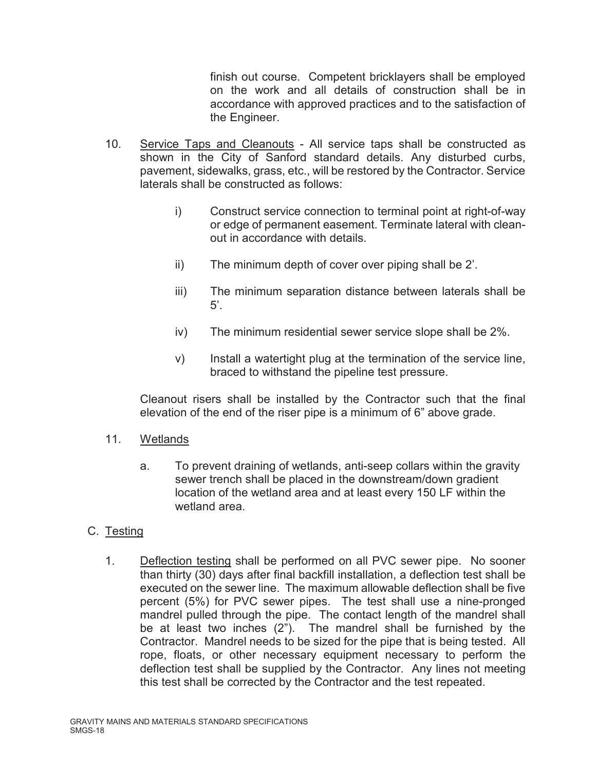finish out course. Competent bricklayers shall be employed on the work and all details of construction shall be in accordance with approved practices and to the satisfaction of the Engineer.

- 10. Service Taps and Cleanouts All service taps shall be constructed as shown in the City of Sanford standard details. Any disturbed curbs, pavement, sidewalks, grass, etc., will be restored by the Contractor. Service laterals shall be constructed as follows:
	- i) Construct service connection to terminal point at right-of-way or edge of permanent easement. Terminate lateral with cleanout in accordance with details.
	- ii) The minimum depth of cover over piping shall be 2'.
	- iii) The minimum separation distance between laterals shall be  $5'.$
	- iv) The minimum residential sewer service slope shall be 2%.
	- v) Install a watertight plug at the termination of the service line, braced to withstand the pipeline test pressure.

Cleanout risers shall be installed by the Contractor such that the final elevation of the end of the riser pipe is a minimum of 6" above grade.

# 11. Wetlands

a. To prevent draining of wetlands, anti-seep collars within the gravity sewer trench shall be placed in the downstream/down gradient location of the wetland area and at least every 150 LF within the wetland area.

# C. Testing

1. Deflection testing shall be performed on all PVC sewer pipe. No sooner than thirty (30) days after final backfill installation, a deflection test shall be executed on the sewer line. The maximum allowable deflection shall be five percent (5%) for PVC sewer pipes. The test shall use a nine-pronged mandrel pulled through the pipe. The contact length of the mandrel shall be at least two inches (2"). The mandrel shall be furnished by the Contractor. Mandrel needs to be sized for the pipe that is being tested. All rope, floats, or other necessary equipment necessary to perform the deflection test shall be supplied by the Contractor. Any lines not meeting this test shall be corrected by the Contractor and the test repeated.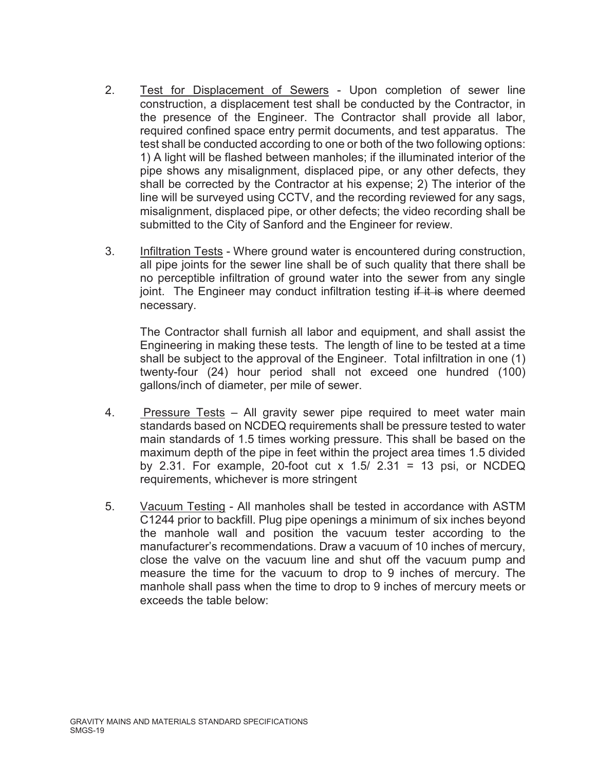- 2. Test for Displacement of Sewers Upon completion of sewer line construction, a displacement test shall be conducted by the Contractor, in the presence of the Engineer. The Contractor shall provide all labor, required confined space entry permit documents, and test apparatus. The test shall be conducted according to one or both of the two following options: 1) A light will be flashed between manholes; if the illuminated interior of the pipe shows any misalignment, displaced pipe, or any other defects, they shall be corrected by the Contractor at his expense; 2) The interior of the line will be surveyed using CCTV, and the recording reviewed for any sags, misalignment, displaced pipe, or other defects; the video recording shall be submitted to the City of Sanford and the Engineer for review.
- 3. Infiltration Tests Where ground water is encountered during construction, all pipe joints for the sewer line shall be of such quality that there shall be no perceptible infiltration of ground water into the sewer from any single joint. The Engineer may conduct infiltration testing  $\frac{d}{dt}$  it is where deemed necessary.

The Contractor shall furnish all labor and equipment, and shall assist the Engineering in making these tests. The length of line to be tested at a time shall be subject to the approval of the Engineer. Total infiltration in one (1) twenty-four (24) hour period shall not exceed one hundred (100) gallons/inch of diameter, per mile of sewer.

- 4. Pressure Tests All gravity sewer pipe required to meet water main standards based on NCDEQ requirements shall be pressure tested to water main standards of 1.5 times working pressure. This shall be based on the maximum depth of the pipe in feet within the project area times 1.5 divided by 2.31. For example, 20-foot cut x  $1.5/2.31 = 13$  psi, or NCDEQ requirements, whichever is more stringent
- 5. Vacuum Testing All manholes shall be tested in accordance with ASTM C1244 prior to backfill. Plug pipe openings a minimum of six inches beyond the manhole wall and position the vacuum tester according to the manufacturer's recommendations. Draw a vacuum of 10 inches of mercury, close the valve on the vacuum line and shut off the vacuum pump and measure the time for the vacuum to drop to 9 inches of mercury. The manhole shall pass when the time to drop to 9 inches of mercury meets or exceeds the table below: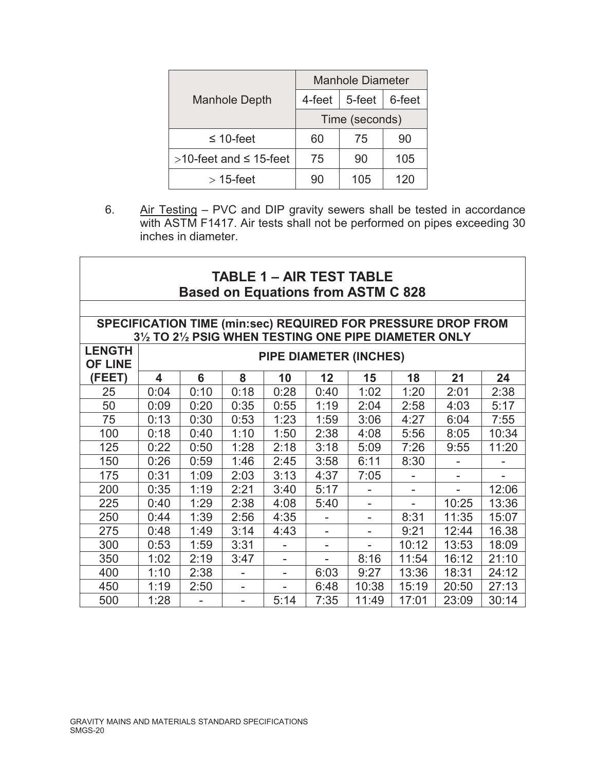|                                 | <b>Manhole Diameter</b> |        |        |  |
|---------------------------------|-------------------------|--------|--------|--|
| <b>Manhole Depth</b>            | 4-feet                  | 5-feet | 6-feet |  |
|                                 | Time (seconds)          |        |        |  |
| $\leq 10$ -feet                 | 60                      | 75     | 90     |  |
| $>10$ -feet and $\leq 15$ -feet | 75                      | 90     | 105    |  |
| $>$ 15-feet                     | 90                      | 105    | 120    |  |

6. Air Testing – PVC and DIP gravity sewers shall be tested in accordance with ASTM F1417. Air tests shall not be performed on pipes exceeding 30 inches in diameter.

٦

| <b>TABLE 1 - AIR TEST TABLE</b><br><b>Based on Equations from ASTM C 828</b>                                          |                               |      |      |                          |                 |       |       |       |       |
|-----------------------------------------------------------------------------------------------------------------------|-------------------------------|------|------|--------------------------|-----------------|-------|-------|-------|-------|
| SPECIFICATION TIME (min:sec) REQUIRED FOR PRESSURE DROP FROM<br>31/2 TO 21/2 PSIG WHEN TESTING ONE PIPE DIAMETER ONLY |                               |      |      |                          |                 |       |       |       |       |
| <b>LENGTH</b><br><b>OF LINE</b>                                                                                       | <b>PIPE DIAMETER (INCHES)</b> |      |      |                          |                 |       |       |       |       |
| (FEET)                                                                                                                | 4                             | 6    | 8    | 10                       | 12 <sub>2</sub> | 15    | 18    | 21    | 24    |
| 25                                                                                                                    | 0:04                          | 0:10 | 0:18 | 0:28                     | 0:40            | 1:02  | 1:20  | 2:01  | 2:38  |
| 50                                                                                                                    | 0:09                          | 0:20 | 0:35 | 0:55                     | 1:19            | 2:04  | 2:58  | 4:03  | 5:17  |
| 75                                                                                                                    | 0:13                          | 0:30 | 0:53 | 1:23                     | 1:59            | 3:06  | 4:27  | 6:04  | 7:55  |
| 100                                                                                                                   | 0:18                          | 0:40 | 1:10 | 1:50                     | 2:38            | 4:08  | 5:56  | 8:05  | 10:34 |
| 125                                                                                                                   | 0:22                          | 0:50 | 1:28 | 2:18                     | 3:18            | 5:09  | 7:26  | 9:55  | 11:20 |
| 150                                                                                                                   | 0:26                          | 0:59 | 1:46 | 2:45                     | 3:58            | 6:11  | 8:30  |       |       |
| 175                                                                                                                   | 0:31                          | 1:09 | 2:03 | 3:13                     | 4:37            | 7:05  |       |       |       |
| 200                                                                                                                   | 0:35                          | 1:19 | 2:21 | 3:40                     | 5:17            |       |       |       | 12:06 |
| 225                                                                                                                   | 0:40                          | 1:29 | 2:38 | 4:08                     | 5:40            |       |       | 10:25 | 13:36 |
| 250                                                                                                                   | 0:44                          | 1:39 | 2:56 | 4:35                     |                 |       | 8:31  | 11:35 | 15:07 |
| 275                                                                                                                   | 0:48                          | 1:49 | 3:14 | 4:43                     |                 |       | 9:21  | 12:44 | 16.38 |
| 300                                                                                                                   | 0:53                          | 1:59 | 3:31 |                          | ۰               |       | 10:12 | 13:53 | 18:09 |
| 350                                                                                                                   | 1:02                          | 2:19 | 3:47 |                          |                 | 8:16  | 11:54 | 16:12 | 21:10 |
| 400                                                                                                                   | 1:10                          | 2:38 | ۰    | $\overline{\phantom{a}}$ | 6:03            | 9:27  | 13:36 | 18:31 | 24:12 |
| 450                                                                                                                   | 1:19                          | 2:50 | ۰    | $\overline{\phantom{a}}$ | 6:48            | 10:38 | 15:19 | 20:50 | 27:13 |
| 500                                                                                                                   | 1:28                          |      |      | 5:14                     | 7:35            | 11:49 | 17:01 | 23:09 | 30:14 |

 $\Gamma$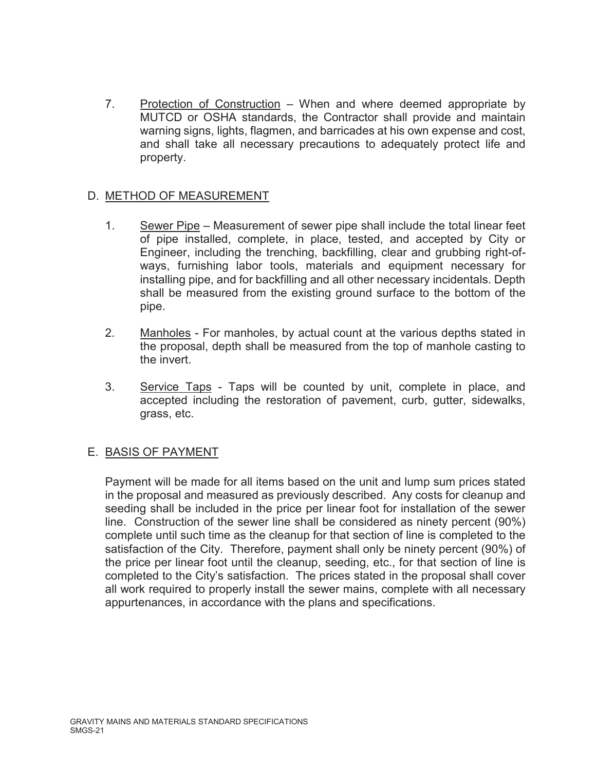7. Protection of Construction – When and where deemed appropriate by MUTCD or OSHA standards, the Contractor shall provide and maintain warning signs, lights, flagmen, and barricades at his own expense and cost, and shall take all necessary precautions to adequately protect life and property.

# D. METHOD OF MEASUREMENT

- 1. Sewer Pipe Measurement of sewer pipe shall include the total linear feet of pipe installed, complete, in place, tested, and accepted by City or Engineer, including the trenching, backfilling, clear and grubbing right-ofways, furnishing labor tools, materials and equipment necessary for installing pipe, and for backfilling and all other necessary incidentals. Depth shall be measured from the existing ground surface to the bottom of the pipe.
- 2. Manholes For manholes, by actual count at the various depths stated in the proposal, depth shall be measured from the top of manhole casting to the invert.
- 3. Service Taps Taps will be counted by unit, complete in place, and accepted including the restoration of pavement, curb, gutter, sidewalks, grass, etc.

# E. BASIS OF PAYMENT

Payment will be made for all items based on the unit and lump sum prices stated in the proposal and measured as previously described. Any costs for cleanup and seeding shall be included in the price per linear foot for installation of the sewer line. Construction of the sewer line shall be considered as ninety percent (90%) complete until such time as the cleanup for that section of line is completed to the satisfaction of the City. Therefore, payment shall only be ninety percent (90%) of the price per linear foot until the cleanup, seeding, etc., for that section of line is completed to the City's satisfaction. The prices stated in the proposal shall cover all work required to properly install the sewer mains, complete with all necessary appurtenances, in accordance with the plans and specifications.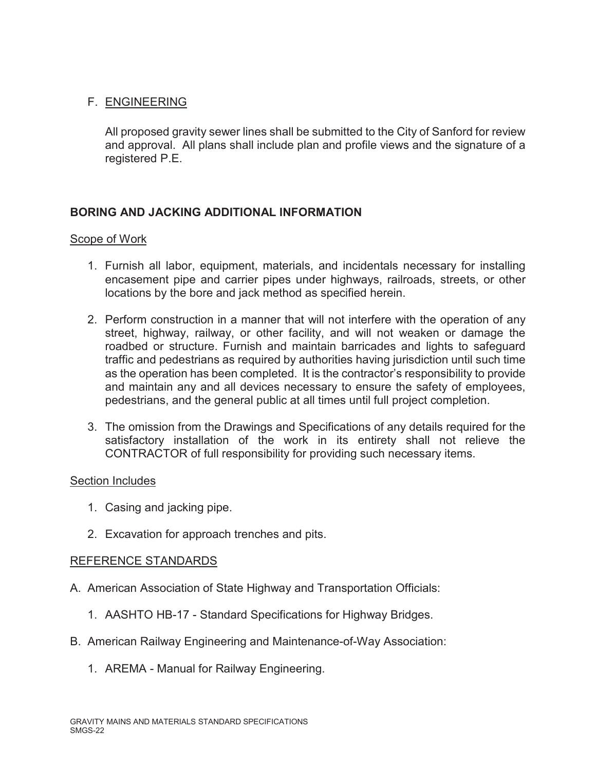# F. ENGINEERING

All proposed gravity sewer lines shall be submitted to the City of Sanford for review and approval. All plans shall include plan and profile views and the signature of a registered P.E.

# **BORING AND JACKING ADDITIONAL INFORMATION**

## Scope of Work

- 1. Furnish all labor, equipment, materials, and incidentals necessary for installing encasement pipe and carrier pipes under highways, railroads, streets, or other locations by the bore and jack method as specified herein.
- 2. Perform construction in a manner that will not interfere with the operation of any street, highway, railway, or other facility, and will not weaken or damage the roadbed or structure. Furnish and maintain barricades and lights to safeguard traffic and pedestrians as required by authorities having jurisdiction until such time as the operation has been completed. It is the contractor's responsibility to provide and maintain any and all devices necessary to ensure the safety of employees, pedestrians, and the general public at all times until full project completion.
- 3. The omission from the Drawings and Specifications of any details required for the satisfactory installation of the work in its entirety shall not relieve the CONTRACTOR of full responsibility for providing such necessary items.

#### Section Includes

- 1. Casing and jacking pipe.
- 2. Excavation for approach trenches and pits.

## REFERENCE STANDARDS

- A. American Association of State Highway and Transportation Officials:
	- 1. AASHTO HB-17 Standard Specifications for Highway Bridges.
- B. American Railway Engineering and Maintenance-of-Way Association:
	- 1. AREMA Manual for Railway Engineering.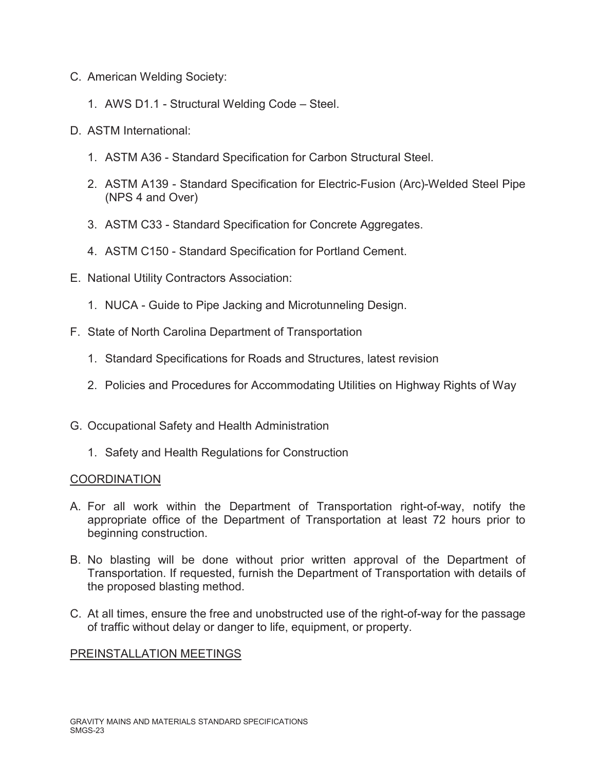- C. American Welding Society:
	- 1. AWS D1.1 Structural Welding Code Steel.
- D. ASTM International:
	- 1. ASTM A36 Standard Specification for Carbon Structural Steel.
	- 2. ASTM A139 Standard Specification for Electric-Fusion (Arc)-Welded Steel Pipe (NPS 4 and Over)
	- 3. ASTM C33 Standard Specification for Concrete Aggregates.
	- 4. ASTM C150 Standard Specification for Portland Cement.
- E. National Utility Contractors Association:
	- 1. NUCA Guide to Pipe Jacking and Microtunneling Design.
- F. State of North Carolina Department of Transportation
	- 1. Standard Specifications for Roads and Structures, latest revision
	- 2. Policies and Procedures for Accommodating Utilities on Highway Rights of Way
- G. Occupational Safety and Health Administration
	- 1. Safety and Health Regulations for Construction

## **COORDINATION**

- A. For all work within the Department of Transportation right-of-way, notify the appropriate office of the Department of Transportation at least 72 hours prior to beginning construction.
- B. No blasting will be done without prior written approval of the Department of Transportation. If requested, furnish the Department of Transportation with details of the proposed blasting method.
- C. At all times, ensure the free and unobstructed use of the right-of-way for the passage of traffic without delay or danger to life, equipment, or property.

## PREINSTALLATION MEETINGS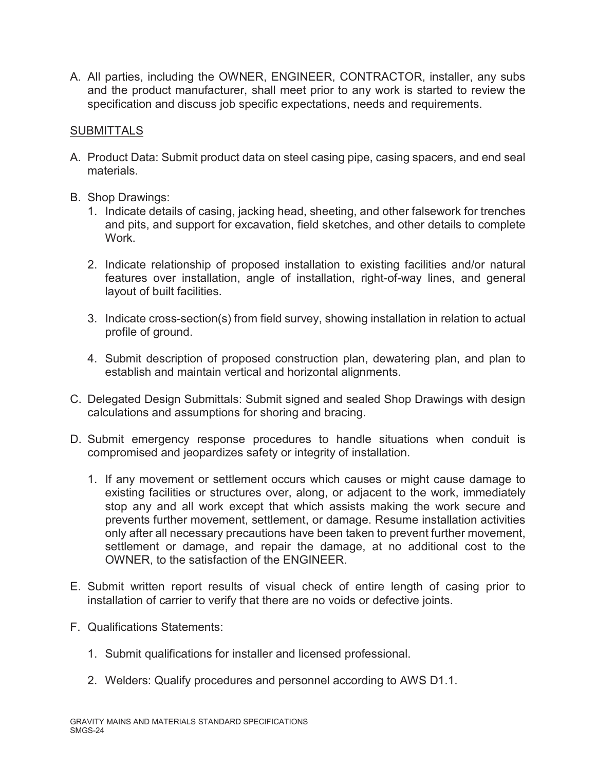A. All parties, including the OWNER, ENGINEER, CONTRACTOR, installer, any subs and the product manufacturer, shall meet prior to any work is started to review the specification and discuss job specific expectations, needs and requirements.

## **SUBMITTALS**

- A. Product Data: Submit product data on steel casing pipe, casing spacers, and end seal materials.
- B. Shop Drawings:
	- 1. Indicate details of casing, jacking head, sheeting, and other falsework for trenches and pits, and support for excavation, field sketches, and other details to complete **Work**
	- 2. Indicate relationship of proposed installation to existing facilities and/or natural features over installation, angle of installation, right-of-way lines, and general layout of built facilities.
	- 3. Indicate cross-section(s) from field survey, showing installation in relation to actual profile of ground.
	- 4. Submit description of proposed construction plan, dewatering plan, and plan to establish and maintain vertical and horizontal alignments.
- C. Delegated Design Submittals: Submit signed and sealed Shop Drawings with design calculations and assumptions for shoring and bracing.
- D. Submit emergency response procedures to handle situations when conduit is compromised and jeopardizes safety or integrity of installation.
	- 1. If any movement or settlement occurs which causes or might cause damage to existing facilities or structures over, along, or adjacent to the work, immediately stop any and all work except that which assists making the work secure and prevents further movement, settlement, or damage. Resume installation activities only after all necessary precautions have been taken to prevent further movement, settlement or damage, and repair the damage, at no additional cost to the OWNER, to the satisfaction of the ENGINEER.
- E. Submit written report results of visual check of entire length of casing prior to installation of carrier to verify that there are no voids or defective joints.
- F. Qualifications Statements:
	- 1. Submit qualifications for installer and licensed professional.
	- 2. Welders: Qualify procedures and personnel according to AWS D1.1.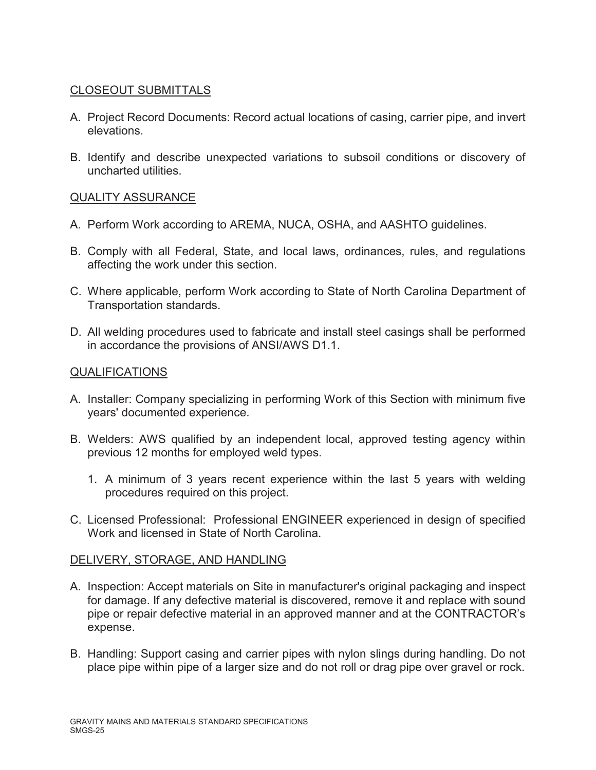# CLOSEOUT SUBMITTALS

- A. Project Record Documents: Record actual locations of casing, carrier pipe, and invert elevations.
- B. Identify and describe unexpected variations to subsoil conditions or discovery of uncharted utilities.

## QUALITY ASSURANCE

- A. Perform Work according to AREMA, NUCA, OSHA, and AASHTO guidelines.
- B. Comply with all Federal, State, and local laws, ordinances, rules, and regulations affecting the work under this section.
- C. Where applicable, perform Work according to State of North Carolina Department of Transportation standards.
- D. All welding procedures used to fabricate and install steel casings shall be performed in accordance the provisions of ANSI/AWS D1.1.

#### QUALIFICATIONS

- A. Installer: Company specializing in performing Work of this Section with minimum five years' documented experience.
- B. Welders: AWS qualified by an independent local, approved testing agency within previous 12 months for employed weld types.
	- 1. A minimum of 3 years recent experience within the last 5 years with welding procedures required on this project.
- C. Licensed Professional: Professional ENGINEER experienced in design of specified Work and licensed in State of North Carolina.

## DELIVERY, STORAGE, AND HANDLING

- A. Inspection: Accept materials on Site in manufacturer's original packaging and inspect for damage. If any defective material is discovered, remove it and replace with sound pipe or repair defective material in an approved manner and at the CONTRACTOR's expense.
- B. Handling: Support casing and carrier pipes with nylon slings during handling. Do not place pipe within pipe of a larger size and do not roll or drag pipe over gravel or rock.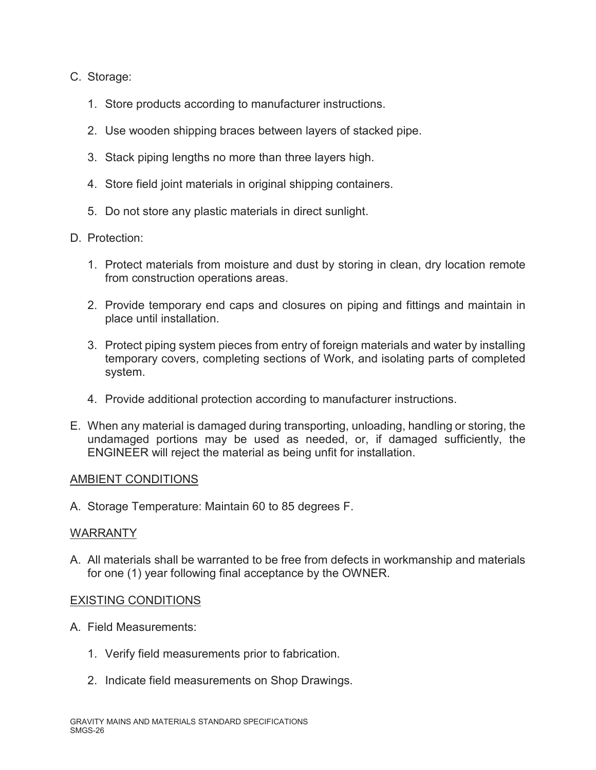## C. Storage:

- 1. Store products according to manufacturer instructions.
- 2. Use wooden shipping braces between layers of stacked pipe.
- 3. Stack piping lengths no more than three layers high.
- 4. Store field joint materials in original shipping containers.
- 5. Do not store any plastic materials in direct sunlight.
- D. Protection:
	- 1. Protect materials from moisture and dust by storing in clean, dry location remote from construction operations areas.
	- 2. Provide temporary end caps and closures on piping and fittings and maintain in place until installation.
	- 3. Protect piping system pieces from entry of foreign materials and water by installing temporary covers, completing sections of Work, and isolating parts of completed system.
	- 4. Provide additional protection according to manufacturer instructions.
- E. When any material is damaged during transporting, unloading, handling or storing, the undamaged portions may be used as needed, or, if damaged sufficiently, the ENGINEER will reject the material as being unfit for installation.

#### AMBIENT CONDITIONS

A. Storage Temperature: Maintain 60 to 85 degrees F.

#### WARRANTY

A. All materials shall be warranted to be free from defects in workmanship and materials for one (1) year following final acceptance by the OWNER.

## EXISTING CONDITIONS

- A. Field Measurements:
	- 1. Verify field measurements prior to fabrication.
	- 2. Indicate field measurements on Shop Drawings.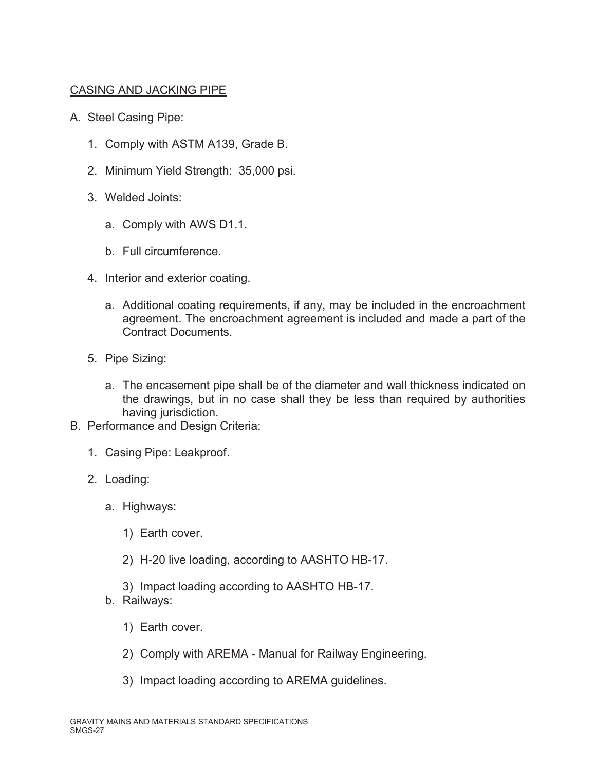# CASING AND JACKING PIPE

- A. Steel Casing Pipe:
	- 1. Comply with ASTM A139, Grade B.
	- 2. Minimum Yield Strength: 35,000 psi.
	- 3. Welded Joints:
		- a. Comply with AWS D1.1.
		- b. Full circumference.
	- 4. Interior and exterior coating.
		- a. Additional coating requirements, if any, may be included in the encroachment agreement. The encroachment agreement is included and made a part of the Contract Documents.
	- 5. Pipe Sizing:
		- a. The encasement pipe shall be of the diameter and wall thickness indicated on the drawings, but in no case shall they be less than required by authorities having jurisdiction.
- B. Performance and Design Criteria:
	- 1. Casing Pipe: Leakproof.
	- 2. Loading:
		- a. Highways:
			- 1) Earth cover.
			- 2) H-20 live loading, according to AASHTO HB-17.
			- 3) Impact loading according to AASHTO HB-17.
		- b. Railways:
			- 1) Earth cover.
			- 2) Comply with AREMA Manual for Railway Engineering.
			- 3) Impact loading according to AREMA guidelines.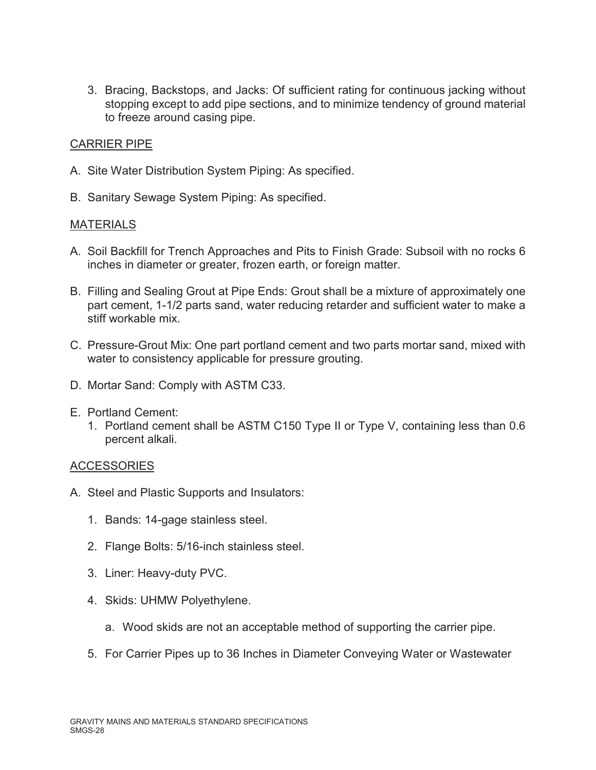3. Bracing, Backstops, and Jacks: Of sufficient rating for continuous jacking without stopping except to add pipe sections, and to minimize tendency of ground material to freeze around casing pipe.

## CARRIER PIPE

- A. Site Water Distribution System Piping: As specified.
- B. Sanitary Sewage System Piping: As specified.

#### MATERIALS

- A. Soil Backfill for Trench Approaches and Pits to Finish Grade: Subsoil with no rocks 6 inches in diameter or greater, frozen earth, or foreign matter.
- B. Filling and Sealing Grout at Pipe Ends: Grout shall be a mixture of approximately one part cement, 1-1/2 parts sand, water reducing retarder and sufficient water to make a stiff workable mix.
- C. Pressure-Grout Mix: One part portland cement and two parts mortar sand, mixed with water to consistency applicable for pressure grouting.
- D. Mortar Sand: Comply with ASTM C33.
- E. Portland Cement:
	- 1. Portland cement shall be ASTM C150 Type II or Type V, containing less than 0.6 percent alkali.

#### **ACCESSORIES**

- A. Steel and Plastic Supports and Insulators:
	- 1. Bands: 14-gage stainless steel.
	- 2. Flange Bolts: 5/16-inch stainless steel.
	- 3. Liner: Heavy-duty PVC.
	- 4. Skids: UHMW Polyethylene.
		- a. Wood skids are not an acceptable method of supporting the carrier pipe.
	- 5. For Carrier Pipes up to 36 Inches in Diameter Conveying Water or Wastewater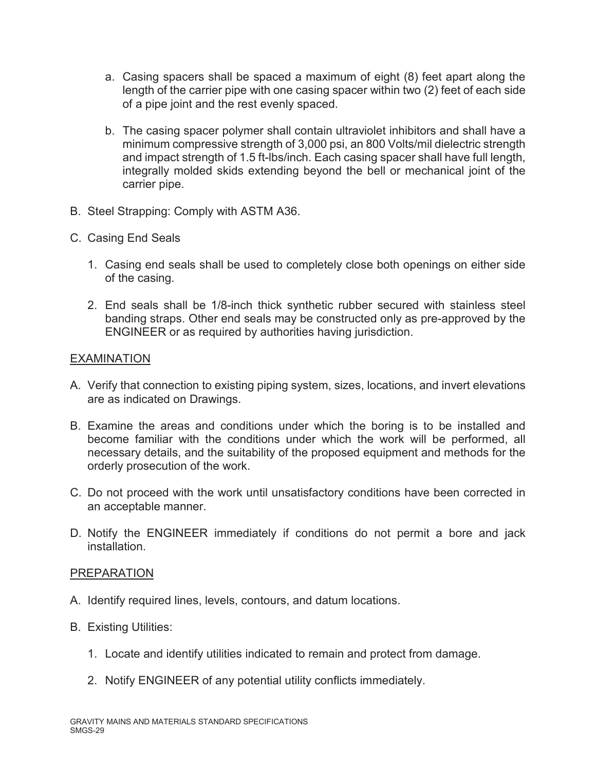- a. Casing spacers shall be spaced a maximum of eight (8) feet apart along the length of the carrier pipe with one casing spacer within two (2) feet of each side of a pipe joint and the rest evenly spaced.
- b. The casing spacer polymer shall contain ultraviolet inhibitors and shall have a minimum compressive strength of 3,000 psi, an 800 Volts/mil dielectric strength and impact strength of 1.5 ft-lbs/inch. Each casing spacer shall have full length, integrally molded skids extending beyond the bell or mechanical joint of the carrier pipe.
- B. Steel Strapping: Comply with ASTM A36.
- C. Casing End Seals
	- 1. Casing end seals shall be used to completely close both openings on either side of the casing.
	- 2. End seals shall be 1/8-inch thick synthetic rubber secured with stainless steel banding straps. Other end seals may be constructed only as pre-approved by the ENGINEER or as required by authorities having jurisdiction.

#### EXAMINATION

- A. Verify that connection to existing piping system, sizes, locations, and invert elevations are as indicated on Drawings.
- B. Examine the areas and conditions under which the boring is to be installed and become familiar with the conditions under which the work will be performed, all necessary details, and the suitability of the proposed equipment and methods for the orderly prosecution of the work.
- C. Do not proceed with the work until unsatisfactory conditions have been corrected in an acceptable manner.
- D. Notify the ENGINEER immediately if conditions do not permit a bore and jack installation.

#### PREPARATION

- A. Identify required lines, levels, contours, and datum locations.
- B. Existing Utilities:
	- 1. Locate and identify utilities indicated to remain and protect from damage.
	- 2. Notify ENGINEER of any potential utility conflicts immediately.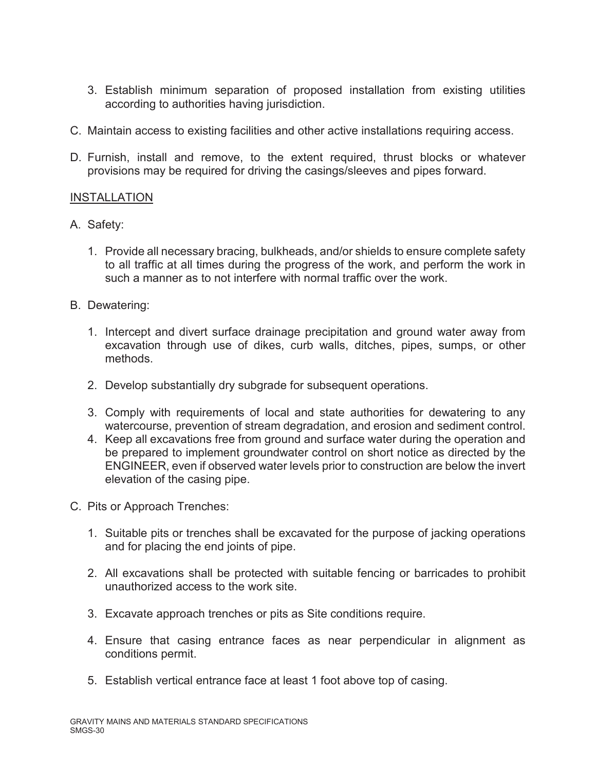- 3. Establish minimum separation of proposed installation from existing utilities according to authorities having jurisdiction.
- C. Maintain access to existing facilities and other active installations requiring access.
- D. Furnish, install and remove, to the extent required, thrust blocks or whatever provisions may be required for driving the casings/sleeves and pipes forward.

## INSTALLATION

- A. Safety:
	- 1. Provide all necessary bracing, bulkheads, and/or shields to ensure complete safety to all traffic at all times during the progress of the work, and perform the work in such a manner as to not interfere with normal traffic over the work.
- B. Dewatering:
	- 1. Intercept and divert surface drainage precipitation and ground water away from excavation through use of dikes, curb walls, ditches, pipes, sumps, or other methods.
	- 2. Develop substantially dry subgrade for subsequent operations.
	- 3. Comply with requirements of local and state authorities for dewatering to any watercourse, prevention of stream degradation, and erosion and sediment control.
	- 4. Keep all excavations free from ground and surface water during the operation and be prepared to implement groundwater control on short notice as directed by the ENGINEER, even if observed water levels prior to construction are below the invert elevation of the casing pipe.
- C. Pits or Approach Trenches:
	- 1. Suitable pits or trenches shall be excavated for the purpose of jacking operations and for placing the end joints of pipe.
	- 2. All excavations shall be protected with suitable fencing or barricades to prohibit unauthorized access to the work site.
	- 3. Excavate approach trenches or pits as Site conditions require.
	- 4. Ensure that casing entrance faces as near perpendicular in alignment as conditions permit.
	- 5. Establish vertical entrance face at least 1 foot above top of casing.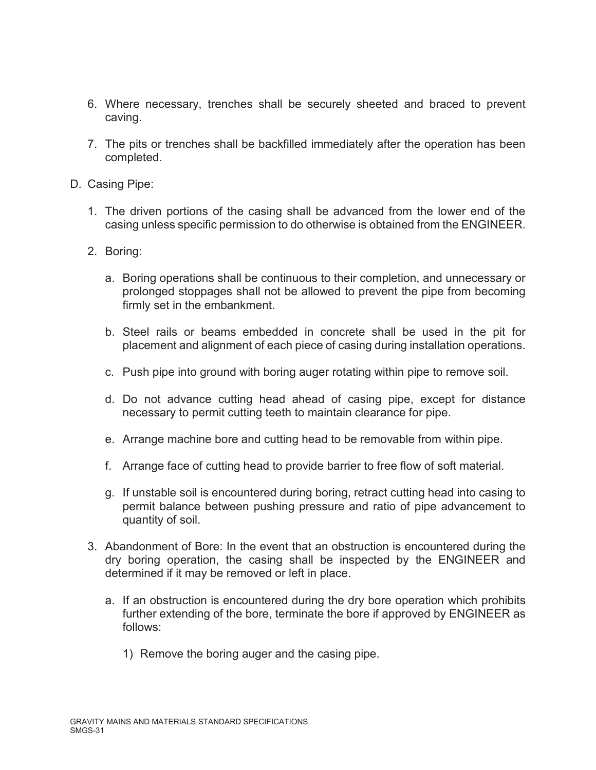- 6. Where necessary, trenches shall be securely sheeted and braced to prevent caving.
- 7. The pits or trenches shall be backfilled immediately after the operation has been completed.
- D. Casing Pipe:
	- 1. The driven portions of the casing shall be advanced from the lower end of the casing unless specific permission to do otherwise is obtained from the ENGINEER.
	- 2. Boring:
		- a. Boring operations shall be continuous to their completion, and unnecessary or prolonged stoppages shall not be allowed to prevent the pipe from becoming firmly set in the embankment.
		- b. Steel rails or beams embedded in concrete shall be used in the pit for placement and alignment of each piece of casing during installation operations.
		- c. Push pipe into ground with boring auger rotating within pipe to remove soil.
		- d. Do not advance cutting head ahead of casing pipe, except for distance necessary to permit cutting teeth to maintain clearance for pipe.
		- e. Arrange machine bore and cutting head to be removable from within pipe.
		- f. Arrange face of cutting head to provide barrier to free flow of soft material.
		- g. If unstable soil is encountered during boring, retract cutting head into casing to permit balance between pushing pressure and ratio of pipe advancement to quantity of soil.
	- 3. Abandonment of Bore: In the event that an obstruction is encountered during the dry boring operation, the casing shall be inspected by the ENGINEER and determined if it may be removed or left in place.
		- a. If an obstruction is encountered during the dry bore operation which prohibits further extending of the bore, terminate the bore if approved by ENGINEER as follows:
			- 1) Remove the boring auger and the casing pipe.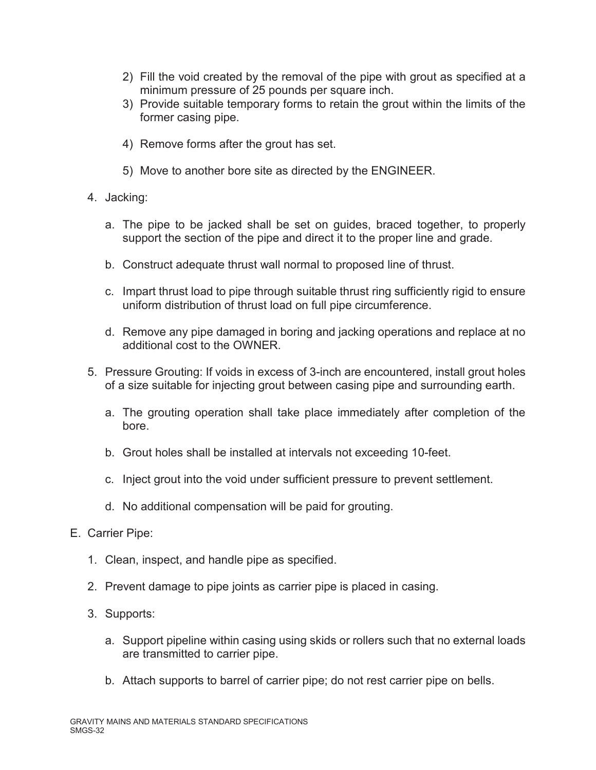- 2) Fill the void created by the removal of the pipe with grout as specified at a minimum pressure of 25 pounds per square inch.
- 3) Provide suitable temporary forms to retain the grout within the limits of the former casing pipe.
- 4) Remove forms after the grout has set.
- 5) Move to another bore site as directed by the ENGINEER.
- 4. Jacking:
	- a. The pipe to be jacked shall be set on guides, braced together, to properly support the section of the pipe and direct it to the proper line and grade.
	- b. Construct adequate thrust wall normal to proposed line of thrust.
	- c. Impart thrust load to pipe through suitable thrust ring sufficiently rigid to ensure uniform distribution of thrust load on full pipe circumference.
	- d. Remove any pipe damaged in boring and jacking operations and replace at no additional cost to the OWNER.
- 5. Pressure Grouting: If voids in excess of 3-inch are encountered, install grout holes of a size suitable for injecting grout between casing pipe and surrounding earth.
	- a. The grouting operation shall take place immediately after completion of the bore.
	- b. Grout holes shall be installed at intervals not exceeding 10-feet.
	- c. Inject grout into the void under sufficient pressure to prevent settlement.
	- d. No additional compensation will be paid for grouting.
- E. Carrier Pipe:
	- 1. Clean, inspect, and handle pipe as specified.
	- 2. Prevent damage to pipe joints as carrier pipe is placed in casing.
	- 3. Supports:
		- a. Support pipeline within casing using skids or rollers such that no external loads are transmitted to carrier pipe.
		- b. Attach supports to barrel of carrier pipe; do not rest carrier pipe on bells.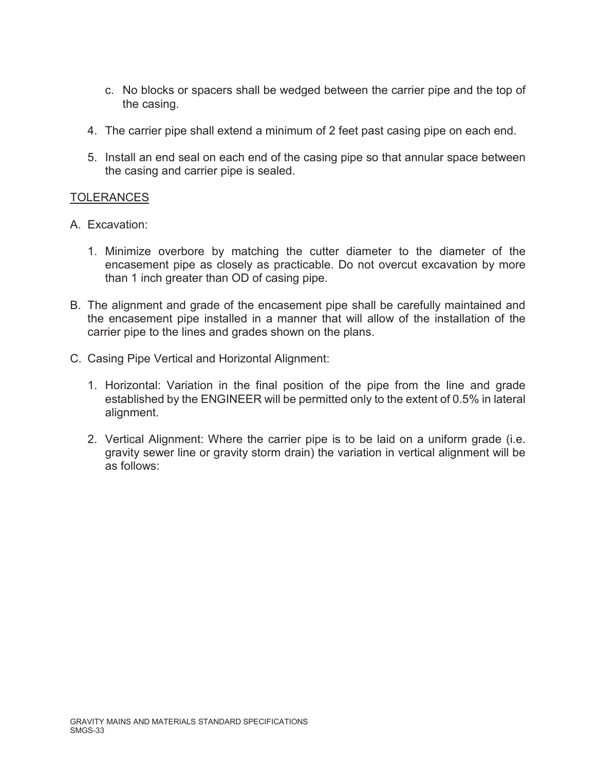- c. No blocks or spacers shall be wedged between the carrier pipe and the top of the casing.
- 4. The carrier pipe shall extend a minimum of 2 feet past casing pipe on each end.
- 5. Install an end seal on each end of the casing pipe so that annular space between the casing and carrier pipe is sealed.

## TOLERANCES

- A. Excavation:
	- 1. Minimize overbore by matching the cutter diameter to the diameter of the encasement pipe as closely as practicable. Do not overcut excavation by more than 1 inch greater than OD of casing pipe.
- B. The alignment and grade of the encasement pipe shall be carefully maintained and the encasement pipe installed in a manner that will allow of the installation of the carrier pipe to the lines and grades shown on the plans.
- C. Casing Pipe Vertical and Horizontal Alignment:
	- 1. Horizontal: Variation in the final position of the pipe from the line and grade established by the ENGINEER will be permitted only to the extent of 0.5% in lateral alignment.
	- 2. Vertical Alignment: Where the carrier pipe is to be laid on a uniform grade (i.e. gravity sewer line or gravity storm drain) the variation in vertical alignment will be as follows: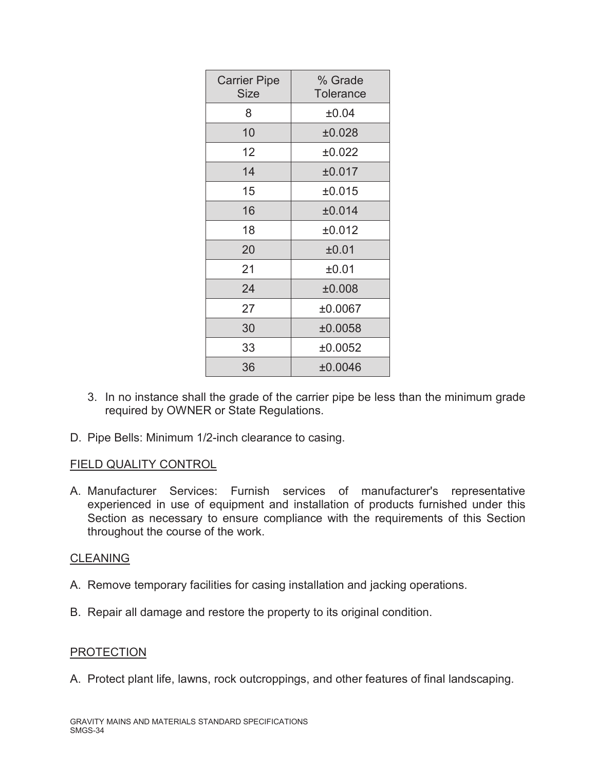| <b>Carrier Pipe</b><br><b>Size</b> | % Grade<br><b>Tolerance</b> |  |  |
|------------------------------------|-----------------------------|--|--|
| 8                                  | ±0.04                       |  |  |
| 10                                 | ±0.028                      |  |  |
| 12                                 | ±0.022                      |  |  |
| 14                                 | ±0.017                      |  |  |
| 15                                 | ±0.015                      |  |  |
| 16                                 | ±0.014                      |  |  |
| 18                                 | ±0.012                      |  |  |
| 20                                 | ±0.01                       |  |  |
| 21                                 | ±0.01                       |  |  |
| 24                                 | ±0.008                      |  |  |
| 27                                 | ±0.0067                     |  |  |
| 30                                 | ±0.0058                     |  |  |
| 33                                 | ±0.0052                     |  |  |
| 36                                 | ±0.0046                     |  |  |

- 3. In no instance shall the grade of the carrier pipe be less than the minimum grade required by OWNER or State Regulations.
- D. Pipe Bells: Minimum 1/2-inch clearance to casing.

# FIELD QUALITY CONTROL

A. Manufacturer Services: Furnish services of manufacturer's representative experienced in use of equipment and installation of products furnished under this Section as necessary to ensure compliance with the requirements of this Section throughout the course of the work.

## CLEANING

- A. Remove temporary facilities for casing installation and jacking operations.
- B. Repair all damage and restore the property to its original condition.

## **PROTECTION**

A. Protect plant life, lawns, rock outcroppings, and other features of final landscaping.